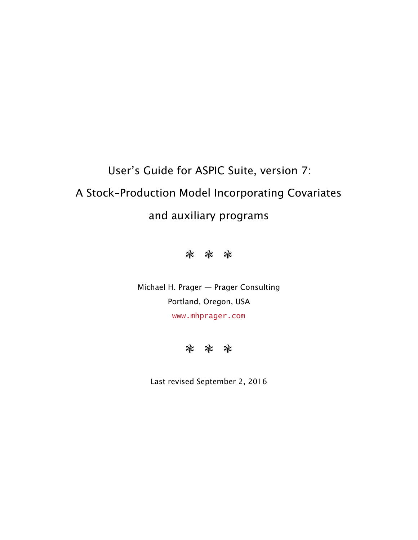# User's Guide for ASPIC Suite, version 7: A Stock–Production Model Incorporating Covariates and auxiliary programs



Michael H. Prager — Prager Consulting Portland, Oregon, USA <www.mhprager.com>



Last revised September 2, 2016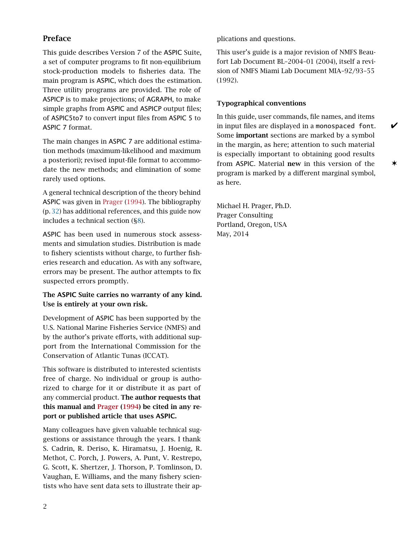## <span id="page-1-0"></span>Preface

This guide describes Version 7 of the ASPIC Suite, a set of computer programs to fit non-equilibrium stock-production models to fisheries data. The main program is ASPIC, which does the estimation. Three utility programs are provided. The role of ASPICP is to make projections; of AGRAPH, to make simple graphs from ASPIC and ASPICP output files; of ASPIC5to7 to convert input files from ASPIC 5 to ASPIC 7 format.

The main changes in ASPIC 7 are additional estimation methods (maximum-likelihood and maximum a posteriori); revised input-file format to accommodate the new methods; and elimination of some rarely used options.

A general technical description of the theory behind ASPIC was given in [Prager](#page-31-0) [\(1994\)](#page-31-0). The bibliography (p. [32\)](#page-31-1) has additional references, and this guide now includes a technical section ([§8\)](#page-26-0).

ASPIC has been used in numerous stock assessments and simulation studies. Distribution is made to fishery scientists without charge, to further fisheries research and education. As with any software, errors may be present. The author attempts to fix suspected errors promptly.

#### The ASPIC Suite carries no warranty of any kind. Use is entirely at your own risk.

Development of ASPIC has been supported by the U.S. National Marine Fisheries Service (NMFS) and by the author's private efforts, with additional support from the International Commission for the Conservation of Atlantic Tunas (ICCAT).

This software is distributed to interested scientists free of charge. No individual or group is authorized to charge for it or distribute it as part of any commercial product. The author requests that this manual and [Prager](#page-31-0) [\(1994\)](#page-31-0) be cited in any report or published article that uses ASPIC.

Many colleagues have given valuable technical suggestions or assistance through the years. I thank S. Cadrin, R. Deriso, K. Hiramatsu, J. Hoenig, R. Methot, C. Porch, J. Powers, A. Punt, V. Restrepo, G. Scott, K. Shertzer, J. Thorson, P. Tomlinson, D. Vaughan, E. Williams, and the many fishery scientists who have sent data sets to illustrate their applications and questions.

This user's guide is a major revision of NMFS Beaufort Lab Document BL–2004–01 (2004), itself a revision of NMFS Miami Lab Document MIA–92/93–55 (1992).

#### <span id="page-1-1"></span>Typographical conventions

In this guide, user commands, file names, and items in input files are displayed in a monospaced font.  $\mathscr V$ Some important sections are marked by a symbol in the margin, as here; attention to such material is especially important to obtaining good results from ASPIC. Material new in this version of the  $\star$ program is marked by a different marginal symbol, as here.

Michael H. Prager, Ph.D. Prager Consulting Portland, Oregon, USA May, 2014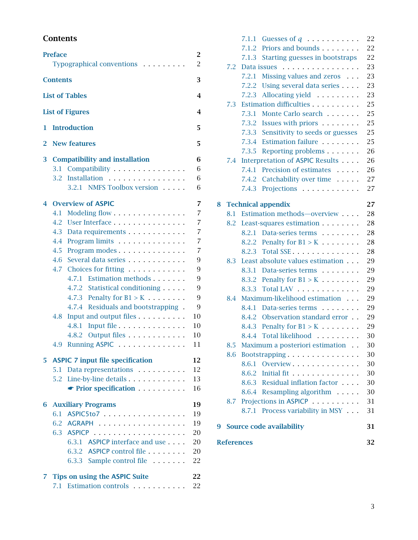## <span id="page-2-0"></span>**Contents**

|    | <b>Preface</b><br>Typographical conventions                  | 2<br>$\overline{2}$   |
|----|--------------------------------------------------------------|-----------------------|
|    | <b>Contents</b>                                              | 3                     |
|    | <b>List of Tables</b>                                        | 4                     |
|    | <b>List of Figures</b>                                       | 4                     |
| 1  | <b>Introduction</b>                                          | 5                     |
| 2  | <b>New features</b>                                          | 5                     |
| 3  | <b>Compatibility and installation</b>                        | 6                     |
|    | Compatibility<br>3.1                                         | 6                     |
|    | Installation<br>3.2                                          | 6                     |
|    | 3.2.1 NMFS Toolbox version                                   | 6                     |
| 4  | <b>Overview of ASPIC</b>                                     | 7                     |
|    | 4.1<br>Modeling flow                                         | $\overline{7}$        |
|    | User Interface<br>4.2                                        | $\overline{7}$        |
|    | 4.3<br>Data requirements                                     | $\overline{7}$        |
|    | 4.4 Program limits                                           | $\overline{7}$        |
|    | 4.5 Program modes                                            | 7                     |
|    | 4.6 Several data series                                      | 9                     |
|    | 4.7 Choices for fitting<br>4.7.1 Estimation methods          | 9                     |
|    |                                                              | 9<br>$\boldsymbol{9}$ |
|    | 4.7.2 Statistical conditioning<br>4.7.3 Penalty for $B1 > K$ | 9                     |
|    | 4.7.4 Residuals and bootstrapping.                           | 9                     |
|    | Input and output files<br>4.8                                | 10                    |
|    | 4.8.1<br>Input file                                          | 10                    |
|    | 4.8.2 Output files                                           | 10                    |
|    | Running ASPIC<br>4.9                                         | 11                    |
|    |                                                              |                       |
| 5  | <b>ASPIC 7 input file specification</b>                      | 12                    |
|    | Data representations<br>5.1<br>5.2                           | 12<br>13              |
|    | $\bullet$ Prior specification $\ldots$                       | 16                    |
|    |                                                              |                       |
| 6  | <b>Auxiliary Programs</b>                                    | 19                    |
|    | ASPIC5to7<br>6.1                                             | 19                    |
|    | 6.2<br><b>AGRAPH</b><br>.                                    | 19                    |
|    | 6.3 ASPICP<br>.                                              | 20                    |
|    | 6.3.1 ASPICP interface and use                               | 20                    |
|    | 6.3.2 ASPICP control file                                    | 20                    |
|    | 6.3.3 Sample control file                                    | 22                    |
| 7. | <b>Tips on using the ASPIC Suite</b>                         | 22                    |
|    | Estimation controls<br>7.1                                   | 22                    |

|   | <b>References</b> |                |                                                                                                                                                                                                                               | 32       |
|---|-------------------|----------------|-------------------------------------------------------------------------------------------------------------------------------------------------------------------------------------------------------------------------------|----------|
| 9 |                   |                | <b>Source code availability</b>                                                                                                                                                                                               | 31       |
|   |                   |                | 8.7.1 Process variability in MSY                                                                                                                                                                                              | 31       |
|   | 8.7               |                | Projections in ASPICP                                                                                                                                                                                                         | 31       |
|   |                   |                | 8.6.4 Resampling algorithm                                                                                                                                                                                                    | 30       |
|   |                   |                | 8.6.3 Residual inflation factor                                                                                                                                                                                               | 30       |
|   |                   |                | 8.6.2 Initial fit                                                                                                                                                                                                             | 30       |
|   |                   |                | 8.6.1 Overview                                                                                                                                                                                                                | 30       |
|   | 8.6               |                | Bootstrapping                                                                                                                                                                                                                 | 30       |
|   | 8.5               |                | Maximum a posteriori estimation                                                                                                                                                                                               | 30       |
|   |                   | 8.4.4          | Total likelihood                                                                                                                                                                                                              | 30       |
|   |                   | 8.4.3          | Penalty for $B1 > K$                                                                                                                                                                                                          | 29       |
|   |                   | 8.4.2          | Observation standard error.                                                                                                                                                                                                   | 29       |
|   |                   |                | 8.4.1 Data-series terms                                                                                                                                                                                                       | 29       |
|   | 8.4               |                | Maximum-likelihood estimation                                                                                                                                                                                                 | 29       |
|   |                   | 8.3.3          | Total LAV                                                                                                                                                                                                                     | 29       |
|   |                   |                | 8.3.2 Penalty for $B1 > K$                                                                                                                                                                                                    | 29       |
|   |                   | 8.3.1          | Data-series terms and the series of the series of the series of the series of the series of the series of the series of the series of the series of the series of the series of the series of the series of the series of the | 29       |
|   | 8.3               |                | Least absolute values estimation                                                                                                                                                                                              | 29       |
|   |                   | 8.2.3          | Total SSE                                                                                                                                                                                                                     | 28       |
|   |                   |                | 8.2.2 Penalty for $B1 > K$                                                                                                                                                                                                    | 28       |
|   |                   | 8.2.1          | Data-series terms                                                                                                                                                                                                             | 28       |
|   | 8.2               |                | Least-squares estimation                                                                                                                                                                                                      | 28       |
|   | 8.1               |                | Estimation methods-overview                                                                                                                                                                                                   | 28       |
| 8 |                   |                | <b>Technical appendix</b>                                                                                                                                                                                                     | 27       |
|   |                   |                |                                                                                                                                                                                                                               |          |
|   |                   | 7.4.3          | Projections                                                                                                                                                                                                                   | 27       |
|   |                   | 7.4.2          | Catchability over time                                                                                                                                                                                                        | 27       |
|   |                   | 7.4.1          | Precision of estimates and the set of the set of the set of the set of the set of the set of the set of the set of the set of the set of the set of the set of the set of the set of the set of the set of the set of the set | 26       |
|   | 7.4               |                | Interpretation of ASPIC Results                                                                                                                                                                                               | 26       |
|   |                   | 7.3.5          | Reporting problems                                                                                                                                                                                                            | 26       |
|   |                   | 7.3.3<br>7.3.4 | Sensitivity to seeds or guesses<br>Estimation failure                                                                                                                                                                         | 25       |
|   |                   |                | 7.3.2 Issues with priors                                                                                                                                                                                                      | 25       |
|   |                   | 7.3.1          | Monte Carlo search                                                                                                                                                                                                            | 25<br>25 |
|   | 7.3               |                |                                                                                                                                                                                                                               | 25       |
|   |                   | 7.2.3          | Allocating yield                                                                                                                                                                                                              | 23       |
|   |                   | 7.2.2          | Using several data series                                                                                                                                                                                                     | 23       |
|   |                   | 7.2.1          | Missing values and zeros                                                                                                                                                                                                      | 23       |
|   | 7.2               |                | Data issues                                                                                                                                                                                                                   | 23       |
|   |                   | 7.1.3          | Starting guesses in bootstraps                                                                                                                                                                                                | 22       |
|   |                   | 7.1.2          | Priors and bounds Theorem 2014                                                                                                                                                                                                | 22       |
|   |                   |                | 7.1.1 Guesses of $q$                                                                                                                                                                                                          | 22       |
|   |                   |                |                                                                                                                                                                                                                               |          |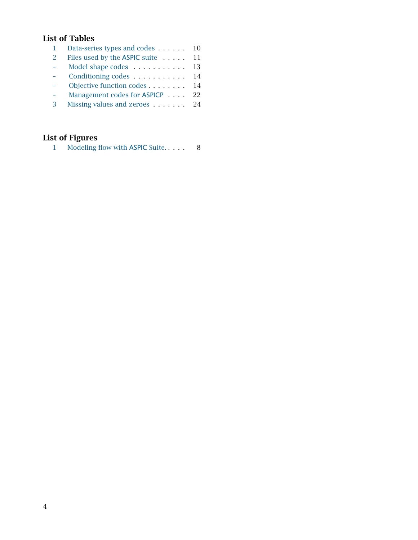## <span id="page-3-0"></span>List of Tables

|   | Files used by the ASPIC suite 11 |  |
|---|----------------------------------|--|
|   | Model shape codes 13             |  |
|   | Conditioning codes 14            |  |
|   | Objective function codes 14      |  |
|   | Management codes for ASPICP 22   |  |
| 3 |                                  |  |
|   |                                  |  |

## <span id="page-3-1"></span>List of Figures

| Modeling flow with ASPIC Suite. | 8 |
|---------------------------------|---|
|---------------------------------|---|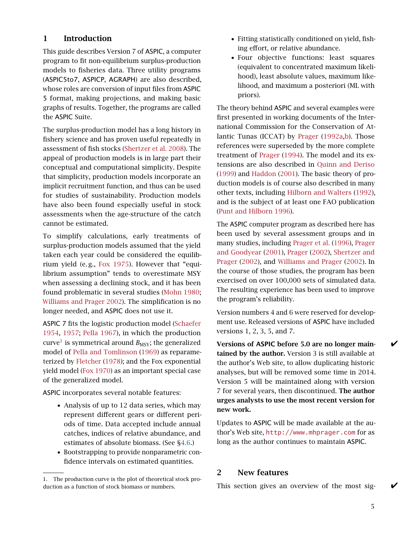#### <span id="page-4-0"></span>1 Introduction

This guide describes Version 7 of ASPIC, a computer program to fit non-equilibrium surplus-production models to fisheries data. Three utility programs (ASPIC5to7, ASPICP, AGRAPH) are also described, whose roles are conversion of input files from ASPIC 5 format, making projections, and making basic graphs of results. Together, the programs are called the ASPIC Suite.

The surplus-production model has a long history in fishery science and has proven useful repeatedly in assessment of fish stocks [\(Shertzer et al.](#page-32-0) [2008\)](#page-32-0). The appeal of production models is in large part their conceptual and computational simplicity. Despite that simplicity, production models incorporate an implicit recruitment function, and thus can be used for studies of sustainability. Production models have also been found especially useful in stock assessments when the age-structure of the catch cannot be estimated.

To simplify calculations, early treatments of surplus-production models assumed that the yield taken each year could be considered the equilib-rium yield (e.g., [Fox](#page-31-2) [1975\)](#page-31-2). However that "equilibrium assumption" tends to overestimate MSY when assessing a declining stock, and it has been found problematic in several studies [\(Mohn](#page-31-3) [1980;](#page-31-3) [Williams and Prager](#page-32-1) [2002\)](#page-32-1). The simplification is no longer needed, and ASPIC does not use it.

ASPIC 7 fits the logistic production model [\(Schaefer](#page-31-4) [1954,](#page-31-4) [1957;](#page-31-5) [Pella](#page-31-6) [1967\)](#page-31-6), in which the production  $\mathrm{curve}^1$  $\mathrm{curve}^1$  is symmetrical around  $B_{\mathrm{MSY}}$ ; the generalized model of [Pella and Tomlinson](#page-31-7) [\(1969\)](#page-31-7) as reparameterized by [Fletcher](#page-31-8) [\(1978\)](#page-31-8); and the Fox exponential yield model [\(Fox](#page-31-9) [1970\)](#page-31-9) as an important special case of the generalized model.

ASPIC incorporates several notable features:

- Analysis of up to 12 data series, which may represent different gears or different periods of time. Data accepted include annual catches, indices of relative abundance, and estimates of absolute biomass. (See [§4.6.](#page-8-0))
- Bootstrapping to provide nonparametric confidence intervals on estimated quantities.
- Fitting statistically conditioned on yield, fishing effort, or relative abundance.
- Four objective functions: least squares (equivalent to concentrated maximum likelihood), least absolute values, maximum likelihood, and maximum a posteriori (ML with priors).

The theory behind ASPIC and several examples were first presented in working documents of the International Commission for the Conservation of Atlantic Tunas (ICCAT) by [Prager](#page-31-10) [\(1992a](#page-31-10)[,b\)](#page-31-11). Those references were superseded by the more complete treatment of [Prager](#page-31-0) [\(1994\)](#page-31-0). The model and its extensions are also described in [Quinn and Deriso](#page-31-12) [\(1999\)](#page-31-12) and [Haddon](#page-31-13) [\(2001\)](#page-31-13). The basic theory of production models is of course also described in many other texts, including [Hilborn and Walters](#page-31-14) [\(1992\)](#page-31-14), and is the subject of at least one FAO publication [\(Punt and Hilborn](#page-31-15) [1996\)](#page-31-15).

The ASPIC computer program as described here has been used by several assessment groups and in many studies, including [Prager et al.](#page-31-16) [\(1996\)](#page-31-16), [Prager](#page-31-17) [and Goodyear](#page-31-17) [\(2001\)](#page-31-17), [Prager](#page-31-18) [\(2002\)](#page-31-18), [Shertzer and](#page-32-2) [Prager](#page-32-2) [\(2002\)](#page-32-2), and [Williams and Prager](#page-32-1) [\(2002\)](#page-32-1). In the course of those studies, the program has been exercised on over 100,000 sets of simulated data. The resulting experience has been used to improve the program's reliability.

Version numbers 4 and 6 were reserved for development use. Released versions of ASPIC have included versions 1, 2, 3, 5, and 7.

Versions of ASPIC before 5.0 are no longer main- $\bigtriangledown$ tained by the author. Version 3 is still available at the author's Web site, to allow duplicating historic analyses, but will be removed some time in 2014. Version 5 will be maintained along with version 7 for several years, then discontinued. The author urges analysts to use the most recent version for new work.

Updates to ASPIC will be made available at the author's Web site, <http://www.mhprager.com> for as long as the author continues to maintain ASPIC.

#### <span id="page-4-1"></span>2 New features

This section gives an overview of the most sig-

<span id="page-4-2"></span><sup>1.</sup> The production curve is the plot of theoretical stock production as a function of stock biomass or numbers.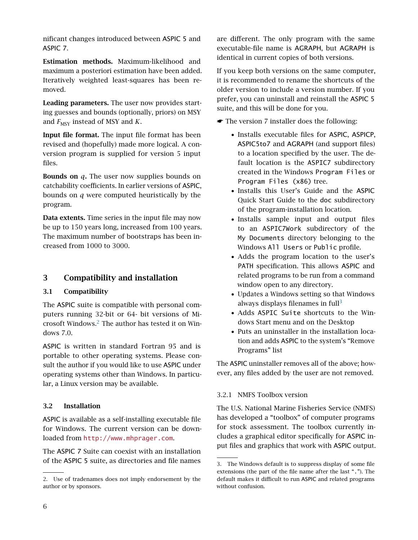nificant changes introduced between ASPIC 5 and ASPIC 7.

Estimation methods. Maximum-likelihood and maximum a posteriori estimation have been added. Iteratively weighted least-squares has been removed.

Leading parameters. The user now provides starting guesses and bounds (optionally, priors) on MSY and  $F_{\text{MSY}}$  instead of MSY and *K*.

Input file format. The input file format has been revised and (hopefully) made more logical. A conversion program is supplied for version 5 input files.

Bounds on *q*. The user now supplies bounds on catchability coefficients. In earlier versions of ASPIC, bounds on *q* were computed heuristically by the program.

Data extents. Time series in the input file may now be up to 150 years long, increased from 100 years. The maximum number of bootstraps has been increased from 1000 to 3000.

## <span id="page-5-0"></span>3 Compatibility and installation

#### <span id="page-5-1"></span>3.1 Compatibility

The ASPIC suite is compatible with personal computers running 32-bit or 64- bit versions of Microsoft Windows.[2](#page-5-4) The author has tested it on Windows 7.0.

ASPIC is written in standard Fortran 95 and is portable to other operating systems. Please consult the author if you would like to use ASPIC under operating systems other than Windows. In particular, a Linux version may be available.

#### <span id="page-5-2"></span>3.2 Installation

ASPIC is available as a self-installing executable file for Windows. The current version can be downloaded from <http://www.mhprager.com>.

The ASPIC 7 Suite can coexist with an installation of the ASPIC 5 suite, as directories and file names

are different. The only program with the same executable-file name is AGRAPH, but AGRAPH is identical in current copies of both versions.

If you keep both versions on the same computer, it is recommended to rename the shortcuts of the older version to include a version number. If you prefer, you can uninstall and reinstall the ASPIC 5 suite, and this will be done for you.

- ☛ The version 7 installer does the following:
	- Installs executable files for ASPIC, ASPICP, ASPIC5to7 and AGRAPH (and support files) to a location specified by the user. The default location is the ASPIC7 subdirectory created in the Windows Program Files or Program Files (x86) tree.
	- Installs this User's Guide and the ASPIC Quick Start Guide to the doc subdirectory of the program-installation location.
	- Installs sample input and output files to an ASPIC7Work subdirectory of the My Documents directory belonging to the Windows All Users or Public profile.
	- Adds the program location to the user's PATH specification. This allows ASPIC and related programs to be run from a command window open to any directory.
	- Updates a Windows setting so that Windows always displays filenames in  $full<sup>3</sup>$  $full<sup>3</sup>$  $full<sup>3</sup>$
	- Adds ASPIC Suite shortcuts to the Windows Start menu and on the Desktop
	- Puts an uninstaller in the installation location and adds ASPIC to the system's "Remove Programs" list

The ASPIC uninstaller removes all of the above; however, any files added by the user are not removed.

## <span id="page-5-3"></span>3.2.1 NMFS Toolbox version

The U.S. National Marine Fisheries Service (NMFS) has developed a "toolbox" of computer programs for stock assessment. The toolbox currently includes a graphical editor specifically for ASPIC input files and graphics that work with ASPIC output.

<span id="page-5-4"></span><sup>2.</sup> Use of tradenames does not imply endorsement by the author or by sponsors.

<span id="page-5-5"></span><sup>3.</sup> The Windows default is to suppress display of some file extensions (the part of the file name after the last "."). The default makes it difficult to run ASPIC and related programs without confusion.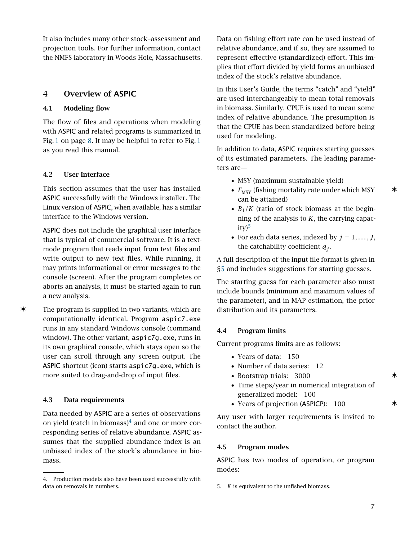It also includes many other stock–assessment and projection tools. For further information, contact the NMFS laboratory in Woods Hole, Massachusetts.

## <span id="page-6-1"></span><span id="page-6-0"></span>4 Overview of ASPIC

#### 4.1 Modeling flow

The flow of files and operations when modeling with ASPIC and related programs is summarized in Fig. [1](#page-7-0) on page [8.](#page-7-0) It may be helpful to refer to Fig. [1](#page-7-0) as you read this manual.

#### <span id="page-6-2"></span>4.2 User Interface

This section assumes that the user has installed ASPIC successfully with the Windows installer. The Linux version of ASPIC, when available, has a similar interface to the Windows version.

ASPIC does not include the graphical user interface that is typical of commercial software. It is a textmode program that reads input from text files and write output to new text files. While running, it may prints informational or error messages to the console (screen). After the program completes or aborts an analysis, it must be started again to run a new analysis.

✶ The program is supplied in two variants, which are computationally identical. Program aspic7.exe runs in any standard Windows console (command window). The other variant, aspic7g.exe, runs in its own graphical console, which stays open so the user can scroll through any screen output. The ASPIC shortcut (icon) starts aspic7g.exe, which is more suited to drag-and-drop of input files.

#### <span id="page-6-3"></span>4.3 Data requirements

Data needed by ASPIC are a series of observations on yield (catch in biomass) $4$  and one or more corresponding series of relative abundance. ASPIC assumes that the supplied abundance index is an unbiased index of the stock's abundance in biomass.

Data on fishing effort rate can be used instead of relative abundance, and if so, they are assumed to represent effective (standardized) effort. This implies that effort divided by yield forms an unbiased index of the stock's relative abundance.

In this User's Guide, the terms "catch" and "yield" are used interchangeably to mean total removals in biomass. Similarly, CPUE is used to mean some index of relative abundance. The presumption is that the CPUE has been standardized before being used for modeling.

In addition to data, ASPIC requires starting guesses of its estimated parameters. The leading parameters are—

- MSY (maximum sustainable yield)
- $F_{\text{MSY}}$  (fishing mortality rate under which MSY  $\star$ can be attained)
- $B_1/K$  (ratio of stock biomass at the beginning of the analysis to *K*, the carrying capac- $ity)^5$  $ity)^5$
- For each data series, indexed by  $j = 1, \ldots, J$ , the catchability coefficient *q<sup>j</sup>* .

A full description of the input file format is given in [§5](#page-11-0) and includes suggestions for starting guesses.

The starting guess for each parameter also must include bounds (minimum and maximum values of the parameter), and in MAP estimation, the prior distribution and its parameters.

#### <span id="page-6-4"></span>4.4 Program limits

Current programs limits are as follows:

- Years of data: 150
- Number of data series: 12
- Bootstrap trials: 3000 ✶
- Time steps/year in numerical integration of generalized model: 100
- Years of projection (ASPICP): 100  $\star$

Any user with larger requirements is invited to contact the author.

#### <span id="page-6-5"></span>4.5 Program modes

ASPIC has two modes of operation, or program modes:

<span id="page-6-6"></span><sup>4.</sup> Production models also have been used successfully with data on removals in numbers.

<span id="page-6-7"></span><sup>5.</sup> *K* is equivalent to the unfished biomass.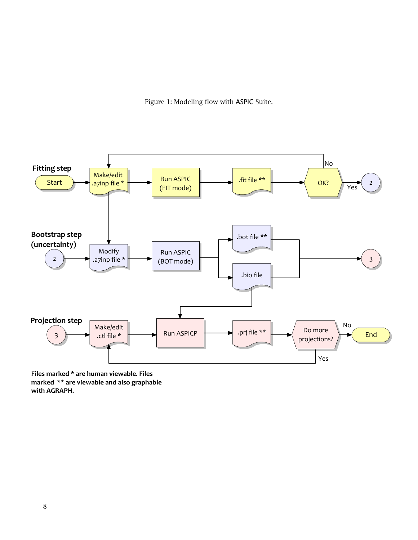<span id="page-7-0"></span>Figure 1: Modeling flow with ASPIC Suite.



Files marked \* are human viewable. Files marked \*\* are viewable and also graphable with AGRAPH.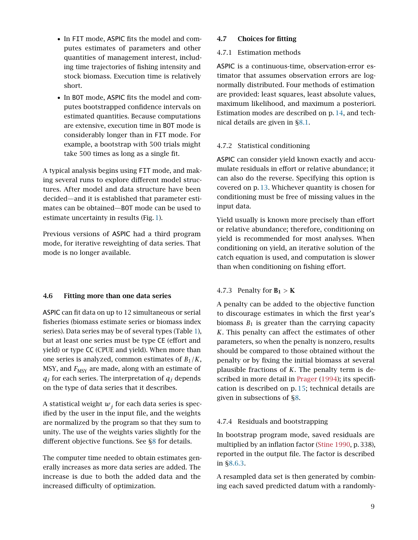- In FIT mode, ASPIC fits the model and computes estimates of parameters and other quantities of management interest, including time trajectories of fishing intensity and stock biomass. Execution time is relatively short.
- In BOT mode, ASPIC fits the model and computes bootstrapped confidence intervals on estimated quantities. Because computations are extensive, execution time in BOT mode is considerably longer than in FIT mode. For example, a bootstrap with 500 trials might take 500 times as long as a single fit.

A typical analysis begins using FIT mode, and making several runs to explore different model structures. After model and data structure have been decided—and it is established that parameter estimates can be obtained—BOT mode can be used to estimate uncertainty in results (Fig. [1\)](#page-7-0).

Previous versions of ASPIC had a third program mode, for iterative reweighting of data series. That mode is no longer available.

#### <span id="page-8-0"></span>4.6 Fitting more than one data series

ASPIC can fit data on up to 12 simultaneous or serial fisheries (biomass estimate series or biomass index series). Data series may be of several types (Table [1\)](#page-9-3), but at least one series must be type CE (effort and yield) or type CC (CPUE and yield). When more than one series is analyzed, common estimates of  $B_1/K$ , MSY, and  $F_{\text{MSY}}$  are made, along with an estimate of  $q_j$  for each series. The interpretation of  $q_j$  depends on the type of data series that it describes.

A statistical weight  $w_j$  for each data series is specified by the user in the input file, and the weights are normalized by the program so that they sum to unity. The use of the weights varies slightly for the different objective functions. See [§8](#page-26-0) for details.

The computer time needed to obtain estimates generally increases as more data series are added. The increase is due to both the added data and the increased difficulty of optimization.

#### <span id="page-8-2"></span><span id="page-8-1"></span>4.7 Choices for fitting

#### 4.7.1 Estimation methods

ASPIC is a continuous-time, observation-error estimator that assumes observation errors are lognormally distributed. Four methods of estimation are provided: least squares, least absolute values, maximum likelihood, and maximum a posteriori. Estimation modes are described on p. [14,](#page-12-1) and technical details are given in [§8.1.](#page-27-0)

#### <span id="page-8-3"></span>4.7.2 Statistical conditioning

ASPIC can consider yield known exactly and accumulate residuals in effort or relative abundance; it can also do the reverse. Specifying this option is covered on p. [13.](#page-12-1) Whichever quantity is chosen for conditioning must be free of missing values in the input data.

Yield usually is known more precisely than effort or relative abundance; therefore, conditioning on yield is recommended for most analyses. When conditioning on yield, an iterative solution of the catch equation is used, and computation is slower than when conditioning on fishing effort.

#### <span id="page-8-4"></span>4.7.3 Penalty for  $B_1 > K$

A penalty can be added to the objective function to discourage estimates in which the first year's biomass  $B_1$  is greater than the carrying capacity *K*. This penalty can affect the estimates of other parameters, so when the penalty is nonzero, results should be compared to those obtained without the penalty or by fixing the initial biomass at several plausible fractions of *K*. The penalty term is de-scribed in more detail in [Prager](#page-31-0) [\(1994\)](#page-31-0); its specification is described on p. [15;](#page-14-0) technical details are given in subsections of [§8.](#page-26-0)

#### <span id="page-8-5"></span>4.7.4 Residuals and bootstrapping

In bootstrap program mode, saved residuals are multiplied by an inflation factor [\(Stine](#page-32-3) [1990,](#page-32-3) p. 338), reported in the output file. The factor is described in [§8.6.3.](#page-29-5)

A resampled data set is then generated by combining each saved predicted datum with a randomly-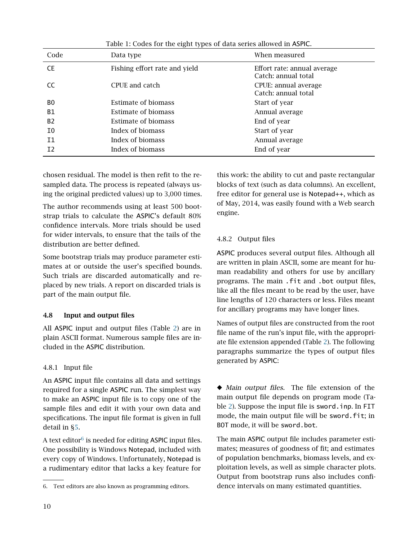| Code           | Data type                     | When measured                                      |
|----------------|-------------------------------|----------------------------------------------------|
| <b>CE</b>      | Fishing effort rate and yield | Effort rate: annual average<br>Catch: annual total |
| CC             | CPUE and catch                | CPUE: annual average<br>Catch: annual total        |
| B <sub>0</sub> | Estimate of biomass           | Start of year                                      |
| <b>B1</b>      | Estimate of biomass           | Annual average                                     |
| B <sub>2</sub> | Estimate of biomass           | End of year                                        |
| I0             | Index of biomass              | Start of year                                      |
| T1             | Index of biomass              | Annual average                                     |
| I <sub>2</sub> | Index of biomass              | End of year                                        |

<span id="page-9-3"></span>Table 1: Codes for the eight types of data series allowed in ASPIC.

chosen residual. The model is then refit to the resampled data. The process is repeated (always using the original predicted values) up to 3,000 times.

The author recommends using at least 500 bootstrap trials to calculate the ASPIC's default 80% confidence intervals. More trials should be used for wider intervals, to ensure that the tails of the distribution are better defined.

Some bootstrap trials may produce parameter estimates at or outside the user's specified bounds. Such trials are discarded automatically and replaced by new trials. A report on discarded trials is part of the main output file.

## <span id="page-9-0"></span>4.8 Input and output files

All ASPIC input and output files (Table [2\)](#page-10-1) are in plain ASCII format. Numerous sample files are included in the ASPIC distribution.

## <span id="page-9-1"></span>4.8.1 Input file

An ASPIC input file contains all data and settings required for a single ASPIC run. The simplest way to make an ASPIC input file is to copy one of the sample files and edit it with your own data and specifications. The input file format is given in full detail in [§5.](#page-11-0)

A text editor $^6$  $^6$  is needed for editing <code>ASPIC</code> input files. One possibility is Windows Notepad, included with every copy of Windows. Unfortunately, Notepad is a rudimentary editor that lacks a key feature for

this work: the ability to cut and paste rectangular blocks of text (such as data columns). An excellent, free editor for general use is Notepad++, which as of May, 2014, was easily found with a Web search engine.

## <span id="page-9-2"></span>4.8.2 Output files

ASPIC produces several output files. Although all are written in plain ASCII, some are meant for human readability and others for use by ancillary programs. The main .fit and .bot output files, like all the files meant to be read by the user, have line lengths of 120 characters or less. Files meant for ancillary programs may have longer lines.

Names of output files are constructed from the root file name of the run's input file, with the appropriate file extension appended (Table [2\)](#page-10-1). The following paragraphs summarize the types of output files generated by ASPIC:

◆ Main output files. The file extension of the main output file depends on program mode (Table [2\)](#page-10-1). Suppose the input file is sword.inp. In FIT mode, the main output file will be sword. fit; in BOT mode, it will be sword.bot.

The main ASPIC output file includes parameter estimates; measures of goodness of fit; and estimates of population benchmarks, biomass levels, and exploitation levels, as well as simple character plots. Output from bootstrap runs also includes confidence intervals on many estimated quantities.

<span id="page-9-4"></span><sup>6.</sup> Text editors are also known as programming editors.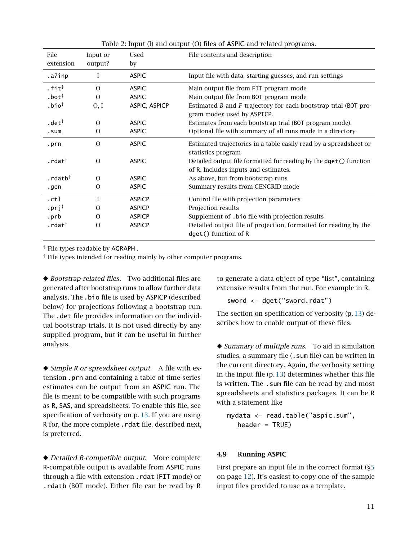| File                  | Input or      | Used          | File contents and description                                       |
|-----------------------|---------------|---------------|---------------------------------------------------------------------|
| extension             | output?       | by            |                                                                     |
| .a7inp                | 1             | <b>ASPIC</b>  | Input file with data, starting guesses, and run settings            |
| $.$ fit $*$           | $\Omega$      | <b>ASPIC</b>  | Main output file from FIT program mode                              |
| $.$ bot $†$           | $\Omega$      | <b>ASPIC</b>  | Main output file from BOT program mode                              |
| $.$ bio <sup>†</sup>  | O, I          | ASPIC, ASPICP | Estimated $B$ and $F$ trajectory for each bootstrap trial (BOT pro- |
|                       |               |               | gram mode); used by ASPICP.                                         |
| .det $^\dagger$       | $\Omega$      | <b>ASPIC</b>  | Estimates from each bootstrap trial (BOT program mode).             |
| .sum                  | $\Omega$      | <b>ASPIC</b>  | Optional file with summary of all runs made in a directory          |
| .prn                  | $\Omega$      | <b>ASPIC</b>  | Estimated trajectories in a table easily read by a spreadsheet or   |
|                       |               |               | statistics program                                                  |
| .rdat $^\dagger$      | $\Omega$      | <b>ASPIC</b>  | Detailed output file formatted for reading by the dget () function  |
|                       |               |               | of R. Includes inputs and estimates.                                |
| . $rdatb^{\dagger}$   | $\Omega$      | <b>ASPIC</b>  | As above, but from bootstrap runs                                   |
| .gen                  | 0             | <b>ASPIC</b>  | Summary results from GENGRID mode                                   |
| .ctl                  |               | <b>ASPICP</b> | Control file with projection parameters                             |
| $.$ prj $^{\ddagger}$ | $\Omega$      | <b>ASPICP</b> | Projection results                                                  |
| .prb                  | $\Omega$      | <b>ASPICP</b> | Supplement of .bio file with projection results                     |
| .rdat $^\dagger$      | $\mathcal{O}$ | <b>ASPICP</b> | Detailed output file of projection, formatted for reading by the    |
|                       |               |               | dget() function of R                                                |

<span id="page-10-1"></span>Table 2: Input (I) and output (O) files of ASPIC and related programs.

‡ File types readable by AGRAPH .

† File types intended for reading mainly by other computer programs.

◆ Bootstrap-related files. Two additional files are generated after bootstrap runs to allow further data analysis. The .bio file is used by ASPICP (described below) for projections following a bootstrap run. The .det file provides information on the individual bootstrap trials. It is not used directly by any supplied program, but it can be useful in further analysis.

◆ Simple *R* or spreadsheet output. A file with extension .prn and containing a table of time-series estimates can be output from an ASPIC run. The file is meant to be compatible with such programs as R, SAS, and spreadsheets. To enable this file, see specification of verbosity on p. [13.](#page-12-2) If you are using R for, the more complete . rdat file, described next, is preferred.

◆ *Detailed R-compatible output.* More complete R-compatible output is available from ASPIC runs through a file with extension .rdat (FIT mode) or .rdatb (BOT mode). Either file can be read by R to generate a data object of type "list", containing extensive results from the run. For example in R,

sword <- dget("sword.rdat")

The section on specification of verbosity (p. [13\)](#page-12-2) describes how to enable output of these files.

◆ Summary of multiple runs. To aid in simulation studies, a summary file (. sum file) can be written in the current directory. Again, the verbosity setting in the input file (p. [13\)](#page-12-1) determines whether this file is written. The .sum file can be read by and most spreadsheets and statistics packages. It can be R with a statement like

```
mydata <- read.table("aspic.sum",
  header = TRUE)
```
#### <span id="page-10-0"></span>4.9 Running ASPIC

First prepare an input file in the correct format  $(S<sub>5</sub>)$ on page [12\)](#page-11-0). It's easiest to copy one of the sample input files provided to use as a template.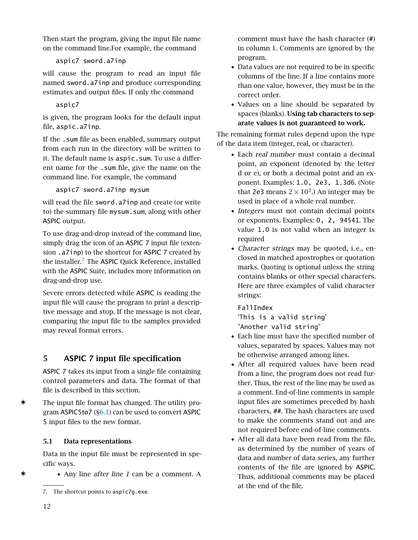Then start the program, giving the input file name on the command line.For example, the command

```
aspic7 sword.a7inp
```
will cause the program to read an input file named sword.a7inp and produce corresponding estimates and output files. If only the command

## aspic7

is given, the program looks for the default input file, aspic.a7inp.

If the .sum file as been enabled, summary output from each run in the directory will be written to it. The default name is aspic.sum. To use a different name for the .sum file, give the name on the command line. For example, the command

aspic7 sword.a7inp mysum

will read the file sword.a7inp and create (or write to) the summary file mysum.sum, along with other ASPIC output.

To use drag-and-drop instead of the command line, simply drag the icon of an ASPIC 7 input file (extension .a7inp) to the shortcut for ASPIC 7 created by the installer.[7](#page-11-2) The ASPIC Quick Reference, installed with the ASPIC Suite, includes more information on drag-and-drop use.

Severe errors detected while ASPIC is reading the input file will cause the program to print a descriptive message and stop. If the message is not clear, comparing the input file to the samples provided may reveal format errors.

## <span id="page-11-0"></span>5 ASPIC 7 input file specification

ASPIC 7 takes its input from a single file containing control parameters and data. The format of that file is described in this section.

✶ The input file format has changed. The utility program ASPIC5to7 ([§6.1\)](#page-18-1) can be used to convert ASPIC 5 input files to the new format.

## <span id="page-11-1"></span>5.1 Data representations

Data in the input file must be represented in specific ways.

✶ • Any line after line 1 can be a comment. A

comment must have the hash character (#) in column 1. Comments are ignored by the program.

- Data values are not required to be in specific columns of the line. If a line contains more than one value, however, they must be in the correct order.
- Values on a line should be separated by spaces (blanks). Using tab characters to separate values is not guaranteed to work.

The remaining format rules depend upon the type of the data item (integer, real, or character).

- Each real number must contain a decimal point, an exponent (denoted by the letter d or e), or both a decimal point and an exponent. Examples: 1.0, 2e3, 1.3d6. (Note that 2e3 means  $2 \times 10^3$ .) An integer may be used in place of a whole real number.
- Integers must not contain decimal points or exponents. Examples: 0, 2, 94541. The value 1.0 is not valid when an integer is required
- *Character strings* may be quoted, i.e., enclosed in matched apostrophes or quotation marks. Quoting is optional unless the string contains blanks or other special characters. Here are three examples of valid character strings:

FallIndex 'This is a valid string' "Another valid string"

- Each line must have the specified number of values, separated by spaces. Values may not be otherwise arranged among lines.
- After all required values have been read from a line, the program does not read further. Thus, the rest of the line may be used as a comment. End-of-line comments in sample input files are sometimes preceded by hash characters, ##. The hash characters are used to make the comments stand out and are not required before end-of-line comments.
- After all data have been read from the file, as determined by the number of years of data and number of data series, any further contents of the file are ignored by ASPIC. Thus, additional comments may be placed at the end of the file.

<span id="page-11-2"></span><sup>7.</sup> The shortcut points to aspic7g.exe.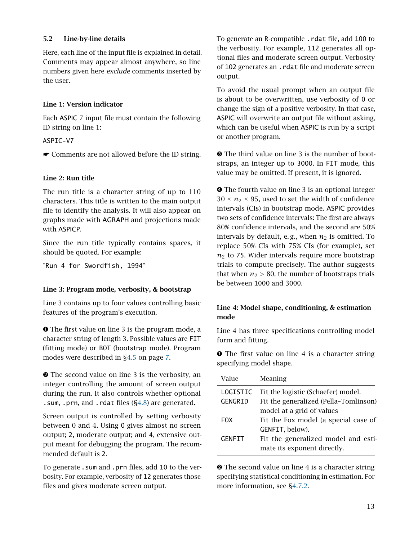#### <span id="page-12-0"></span>5.2 Line-by-line details

Here, each line of the input file is explained in detail. Comments may appear almost anywhere, so line numbers given here exclude comments inserted by the user.

#### Line 1: Version indicator

Each ASPIC 7 input file must contain the following ID string on line 1:

ASPIC-V7

☛ Comments are not allowed before the ID string.

#### Line 2: Run title

The run title is a character string of up to 110 characters. This title is written to the main output file to identify the analysis. It will also appear on graphs made with AGRAPH and projections made with ASPICP.

Since the run title typically contains spaces, it should be quoted. For example:

"Run 4 for Swordfish, 1994"

#### <span id="page-12-2"></span>Line 3: Program mode, verbosity, & bootstrap

Line 3 contains up to four values controlling basic features of the program's execution.

➊ The first value on line 3 is the program mode, a character string of length 3. Possible values are FIT (fitting mode) or BOT (bootstrap mode). Program modes were described in [§4.5](#page-6-5) on page [7.](#page-6-5)

➋ The second value on line 3 is the verbosity, an integer controlling the amount of screen output during the run. It also controls whether optional .sum, .prn, and .rdat files ([§4.8\)](#page-9-0) are generated.

Screen output is controlled by setting verbosity between 0 and 4. Using 0 gives almost no screen output; 2, moderate output; and 4, extensive output meant for debugging the program. The recommended default is 2.

To generate .sum and .prn files, add 10 to the verbosity. For example, verbosity of 12 generates those files and gives moderate screen output.

To generate an R-compatible .rdat file, add 100 to the verbosity. For example, 112 generates all optional files and moderate screen output. Verbosity of 102 generates an .rdat file and moderate screen output.

To avoid the usual prompt when an output file is about to be overwritten, use verbosity of 0 or change the sign of a positive verbosity. In that case, ASPIC will overwrite an output file without asking, which can be useful when ASPIC is run by a script or another program.

➌ The third value on line 3 is the number of bootstraps, an integer up to 3000. In FIT mode, this value may be omitted. If present, it is ignored.

➍ The fourth value on line 3 is an optional integer  $30 \le n_2 \le 95$ , used to set the width of confidence intervals (CIs) in bootstrap mode. ASPIC provides two sets of confidence intervals: The first are always 80% confidence intervals, and the second are 50% intervals by default, e.g., when  $n_2$  is omitted. To replace 50% CIs with 75% CIs (for example), set  $n_2$  to 75. Wider intervals require more bootstrap trials to compute precisely. The author suggests that when  $n_2 > 80$ , the number of bootstraps trials be between 1000 and 3000.

#### <span id="page-12-1"></span>Line 4: Model shape, conditioning, & estimation mode

Line 4 has three specifications controlling model form and fitting.

**O** The first value on line 4 is a character string specifying model shape.

| Value                                                                                              | Meaning                              |  |
|----------------------------------------------------------------------------------------------------|--------------------------------------|--|
| Fit the logistic (Schaefer) model.<br>LOGISTIC<br>Fit the generalized (Pella-Tomlinson)<br>GENGRID |                                      |  |
|                                                                                                    | model at a grid of values            |  |
| FOX.                                                                                               | Fit the Fox model (a special case of |  |
|                                                                                                    | GENFIT, below).                      |  |
| <b>GENFIT</b>                                                                                      | Fit the generalized model and esti-  |  |
|                                                                                                    | mate its exponent directly.          |  |

 $\odot$  The second value on line 4 is a character string specifying statistical conditioning in estimation. For more information, see [§4.7.2.](#page-8-3)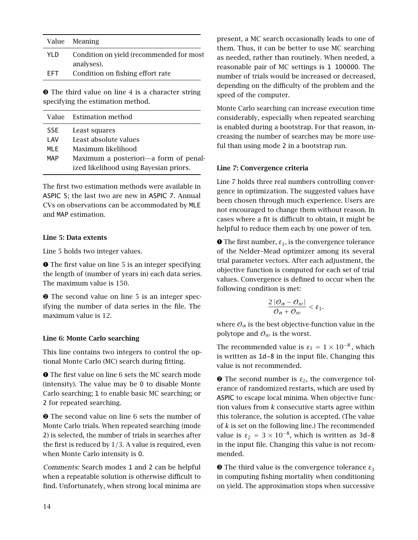|       | Value Meaning                            |
|-------|------------------------------------------|
| YI D. | Condition on yield (recommended for most |
|       | analyses).                               |
| FFT.  | Condition on fishing effort rate         |

➌ The third value on line 4 is a character string specifying the estimation method.

|      | Value – Estimation method              |  |  |
|------|----------------------------------------|--|--|
| SSE  | Least squares                          |  |  |
| I AV | Least absolute values                  |  |  |
| MI F | Maximum likelihood                     |  |  |
| MAP  | Maximum a posteriori—a form of penal-  |  |  |
|      | ized likelihood using Bayesian priors. |  |  |

The first two estimation methods were available in ASPIC 5; the last two are new in ASPIC 7. Annual CVs on observations can be accommodated by MLE and MAP estimation.

#### Line 5: Data extents

Line 5 holds two integer values.

➊ The first value on line 5 is an integer specifying the length of (number of years in) each data series. The maximum value is 150.

➋ The second value on line 5 is an integer specifying the number of data series in the file. The maximum value is 12.

#### Line 6: Monte Carlo searching

This line contains two integers to control the optional Monte Carlo (MC) search during fitting.

➊ The first value on line 6 sets the MC search mode (intensity). The value may be 0 to disable Monte Carlo searching; 1 to enable basic MC searching; or 2 for repeated searching.

➋ The second value on line 6 sets the number of Monte Carlo trials. When repeated searching (mode 2) is selected, the number of trials in searches after the first is reduced by 1*/*3. A value is required, even when Monte Carlo intensity is 0.

Comments: Search modes 1 and 2 can be helpful when a repeatable solution is otherwise difficult to find. Unfortunately, when strong local minima are present, a MC search occasionally leads to one of them. Thus, it can be better to use MC searching as needed, rather than routinely. When needed, a reasonable pair of MC settings is 1 100000. The number of trials would be increased or decreased, depending on the difficulty of the problem and the speed of the computer.

Monte Carlo searching can increase execution time considerably, especially when repeated searching is enabled during a bootstrap. For that reason, increasing the number of searches may be more useful than using mode 2 in a bootstrap run.

#### Line 7: Convergence criteria

Line 7 holds three real numbers controlling convergence in optimization. The suggested values have been chosen through much experience. Users are not encouraged to change them without reason. In cases where a fit is difficult to obtain, it might be helpful to reduce them each by one power of ten.

 $\bullet$  The first number,  $\varepsilon_1$ , is the convergence tolerance of the Nelder–Mead optimizer among its several trial parameter vectors. After each adjustment, the objective function is computed for each set of trial values. Convergence is defined to occur when the following condition is met:

$$
\frac{2\left|\mathcal{O}_{\alpha}-\mathcal{O}_{\omega}\right|}{\mathcal{O}_{\alpha}+\mathcal{O}_{\omega}}<\varepsilon_{1}.
$$

where  $\mathcal{O}_{\alpha}$  is the best objective-function value in the polytope and  $\mathcal{O}_{\omega}$  is the worst.

The recommended value is  $\varepsilon_1 = 1 \times 10^{-8}$ , which is written as 1d-8 in the input file. Changing this value is not recommended.

➋ The second number is *ε*2, the convergence tolerance of randomized restarts, which are used by ASPIC to escape local minima. When objective function values from *k* consecutive starts agree within this tolerance, the solution is accepted. (The value of *k* is set on the following line.) The recommended value is  $\varepsilon_2 = 3 \times 10^{-8}$ , which is written as 3d-8 in the input file. Changing this value is not recommended.

 $\bullet$  The third value is the convergence tolerance  $\varepsilon_3$ in computing fishing mortality when conditioning on yield. The approximation stops when successive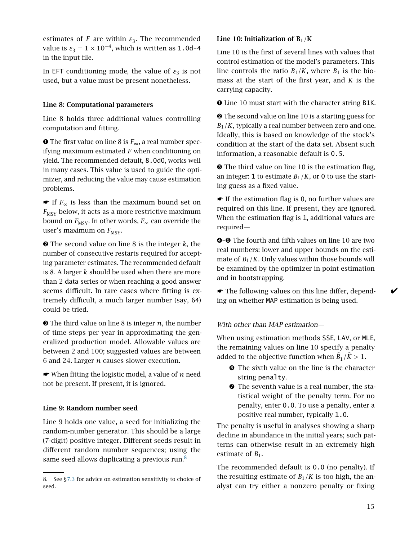estimates of *F* are within  $\varepsilon_3$ . The recommended value is  $\varepsilon_3 = 1 \times 10^{-4}$ , which is written as 1.0d-4 in the input file.

In EFT conditioning mode, the value of  $ε_3$  is not used, but a value must be present nonetheless.

#### Line 8: Computational parameters

Line 8 holds three additional values controlling computation and fitting.

➊ The first value on line 8 is *F*∞, a real number specifying maximum estimated *F* when conditioning on yield. The recommended default, 8.0d0, works well in many cases. This value is used to guide the optimizer, and reducing the value may cause estimation problems.

 $\bullet$  If  $F_{\infty}$  is less than the maximum bound set on  $F_{\text{MSY}}$  below, it acts as a more restrictive maximum bound on  $F_{\text{MSY}}$ . In other words,  $F_{\infty}$  can override the user's maximum on  $F_{\text{MSY}}$ .

➋ The second value on line 8 is the integer *k*, the number of consecutive restarts required for accepting parameter estimates. The recommended default is 8. A larger *k* should be used when there are more than 2 data series or when reaching a good answer seems difficult. In rare cases where fitting is extremely difficult, a much larger number (say, 64) could be tried.

➌ The third value on line 8 is integer *n*, the number of time steps per year in approximating the generalized production model. Allowable values are between 2 and 100; suggested values are between 6 and 24. Larger *n* causes slower execution.

☛ When fitting the logistic model, a value of *n* need not be present. If present, it is ignored.

#### Line 9: Random number seed

Line 9 holds one value, a seed for initializing the random-number generator. This should be a large (7-digit) positive integer. Different seeds result in different random number sequences; using the same seed allows duplicating a previous run. $8$ 

#### <span id="page-14-0"></span>Line 10: Initialization of  $B_1/K$

Line 10 is the first of several lines with values that control estimation of the model's parameters. This line controls the ratio  $B_1/K$ , where  $B_1$  is the biomass at the start of the first year, and *K* is the carrying capacity.

➊ Line 10 must start with the character string B1K.

➋ The second value on line 10 is a starting guess for  $B_1/K$ , typically a real number between zero and one. Ideally, this is based on knowledge of the stock's condition at the start of the data set. Absent such information, a reasonable default is 0.5.

➌ The third value on line 10 is the estimation flag, an integer: 1 to estimate  $B_1/K$ , or 0 to use the starting guess as a fixed value.

☛ If the estimation flag is 0, no further values are required on this line. If present, they are ignored. When the estimation flag is 1, additional values are required—

➍–➎ The fourth and fifth values on line 10 are two real numbers: lower and upper bounds on the estimate of  $B_1/K$ . Only values within those bounds will be examined by the optimizer in point estimation and in bootstrapping.

 $\bullet$  The following values on this line differ, depend-  $\bullet$ ing on whether MAP estimation is being used.

#### With other than MAP estimation—

When using estimation methods SSE, LAV, or MLE, the remaining values on line 10 specify a penalty added to the objective function when  $B_1/K > 1$ .

- ➏ The sixth value on the line is the character string penalty.
- ➐ The seventh value is a real number, the statistical weight of the penalty term. For no penalty, enter 0.0. To use a penalty, enter a positive real number, typically 1.0.

The penalty is useful in analyses showing a sharp decline in abundance in the initial years; such patterns can otherwise result in an extremely high estimate of  $B_1$ .

The recommended default is 0.0 (no penalty). If the resulting estimate of  $B_1/K$  is too high, the analyst can try either a nonzero penalty or fixing

<span id="page-14-1"></span><sup>8.</sup> See [§7.3](#page-24-0) for advice on estimation sensitivity to choice of seed.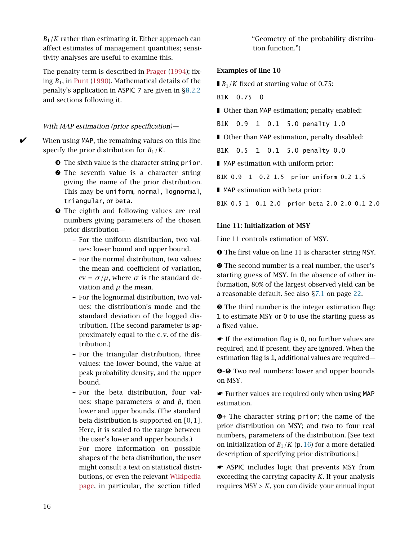$B_1/K$  rather than estimating it. Either approach can affect estimates of management quantities; sensitivity analyses are useful to examine this.

The penalty term is described in [Prager](#page-31-0) [\(1994\)](#page-31-0); fixing *B*1, in [Punt](#page-31-19) [\(1990\)](#page-31-19). Mathematical details of the penalty's application in ASPIC 7 are given in [§8.2.2](#page-27-3) and sections following it.

#### <span id="page-15-0"></span>With MAP estimation (prior specification)—

When using MAP, the remaining values on this line specify the prior distribution for  $B_1/K$ .

- ➏ The sixth value is the character string prior.
- **O** The seventh value is a character string giving the name of the prior distribution. This may be uniform, normal, lognormal, triangular, or beta.
- ➑ The eighth and following values are real numbers giving parameters of the chosen prior distribution—
	- For the uniform distribution, two values: lower bound and upper bound.
	- For the normal distribution, two values: the mean and coefficient of variation,  $cv = \sigma/\mu$ , where  $\sigma$  is the standard deviation and *µ* the mean.
	- For the lognormal distribution, two values: the distribution's mode and the standard deviation of the logged distribution. (The second parameter is approximately equal to the c. v. of the distribution.)
	- For the triangular distribution, three values: the lower bound, the value at peak probability density, and the upper bound.
	- For the beta distribution, four values: shape parameters *α* and *β*, then lower and upper bounds. (The standard beta distribution is supported on *[*0*,* 1*]*. Here, it is scaled to the range between the user's lower and upper bounds.) For more information on possible shapes of the beta distribution, the user might consult a text on statistical distributions, or even the relevant [Wikipedia](https://en.wikipedia.org/wiki/Beta_distribution) [page,](https://en.wikipedia.org/wiki/Beta_distribution) in particular, the section titled

"Geometry of the probability distribution function.")

#### Examples of line 10

 $\blacksquare$  *B*<sub>1</sub>/*K* fixed at starting value of 0.75:

B1K 0.75 0

- Other than MAP estimation; penalty enabled:
- B1K 0.9 1 0.1 5.0 penalty 1.0

■ Other than MAP estimation, penalty disabled:

B1K 0.5 1 0.1 5.0 penalty 0.0

■ MAP estimation with uniform prior:

B1K 0.9 1 0.2 1.5 prior uniform 0.2 1.5

■ MAP estimation with beta prior:

B1K 0.5 1 0.1 2.0 prior beta 2.0 2.0 0.1 2.0

#### Line 11: Initialization of MSY

Line 11 controls estimation of MSY.

➊ The first value on line 11 is character string MSY.

➋ The second number is a real number, the user's starting guess of MSY. In the absence of other information, 80% of the largest observed yield can be a reasonable default. See also [§7.1](#page-21-2) on page [22.](#page-21-2)

➌ The third number is the integer estimation flag: 1 to estimate MSY or 0 to use the starting guess as a fixed value.

☛ If the estimation flag is 0, no further values are required, and if present, they are ignored. When the estimation flag is 1, additional values are required—

➍–➎ Two real numbers: lower and upper bounds on MSY.

☛ Further values are required only when using MAP estimation.

➏+ The character string prior; the name of the prior distribution on MSY; and two to four real numbers, parameters of the distribution. [See text on initialization of  $B_1/K$  (p. [16\)](#page-15-0) for a more detailed description of specifying prior distributions.]

☛ ASPIC includes logic that prevents MSY from exceeding the carrying capacity *K*. If your analysis requires  $MSY > K$ , you can divide your annual input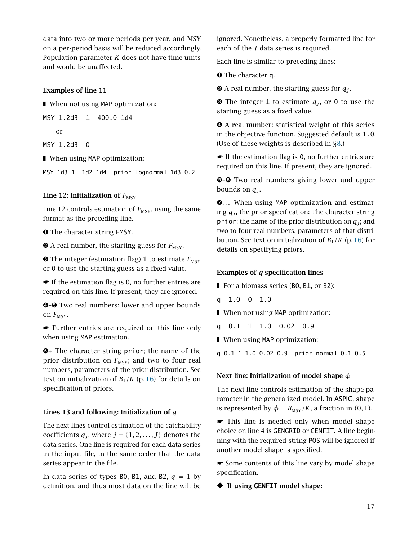data into two or more periods per year, and MSY on a per-period basis will be reduced accordingly. Population parameter *K* does not have time units and would be unaffected.

#### Examples of line 11

■ When not using MAP optimization:

MSY 1.2d3 1 400.0 1d4

or

MSY 1.2d3 0

■ When using MAP optimization:

MSY 1d3 1 1d2 1d4 prior lognormal 1d3 0.2

#### Line 12: Initialization of  $F_{\text{MSY}}$

Line 12 controls estimation of  $F_{\text{MSY}}$ , using the same format as the preceding line.

➊ The character string FMSY.

 $\bullet$  A real number, the starting guess for  $F_{\text{MSY}}$ .

 $\bullet$  The integer (estimation flag) 1 to estimate  $F_{\text{MSY}}$ or 0 to use the starting guess as a fixed value.

☛ If the estimation flag is 0, no further entries are required on this line. If present, they are ignored.

➍–➎ Two real numbers: lower and upper bounds on  $F_{\text{MSY}}$ .

☛ Further entries are required on this line only when using MAP estimation.

➏+ The character string prior; the name of the prior distribution on  $F_{\text{MSY}}$ ; and two to four real numbers, parameters of the prior distribution. See text on initialization of  $B_1/K$  (p. [16\)](#page-15-0) for details on specification of priors.

#### Lines 13 and following: Initialization of *q*

The next lines control estimation of the catchability coefficients  $q_j$ , where  $j = \{1, 2, ..., J\}$  denotes the data series. One line is required for each data series in the input file, in the same order that the data series appear in the file.

In data series of types B0, B1, and B2,  $q = 1$  by definition, and thus most data on the line will be

ignored. Nonetheless, a properly formatted line for each of the *J* data series is required.

Each line is similar to preceding lines:

➊ The character q.

 $\bullet$  A real number, the starting guess for  $q_j$ .

 $\Theta$  The integer 1 to estimate  $q_j$ , or 0 to use the starting guess as a fixed value.

➍ A real number: statistical weight of this series in the objective function. Suggested default is 1.0. (Use of these weights is described in [§8.](#page-26-0))

☛ If the estimation flag is 0, no further entries are required on this line. If present, they are ignored.

 $\Theta$ **–** $\Theta$  Two real numbers giving lower and upper bounds on  $q_i$ .

 $\odot$ ... When using MAP optimization and estimating  $q_i$ , the prior specification: The character string prior; the name of the prior distribution on  $q_i$ ; and two to four real numbers, parameters of that distribution. See text on initialization of  $B_1/K$  (p. [16\)](#page-15-0) for details on specifying priors.

#### Examples of *q* specification lines

■ For a biomass series (B0, B1, or B2):

q 1.0 0 1.0

■ When not using MAP optimization:

q 0.1 1 1.0 0.02 0.9

■ When using MAP optimization:

q 0.1 1 1.0 0.02 0.9 prior normal 0.1 0.5

#### Next line: Initialization of model shape *φ*

The next line controls estimation of the shape parameter in the generalized model. In ASPIC, shape is represented by  $\phi = B_{\text{MSY}}/K$ , a fraction in (0, 1).

☛ This line is needed only when model shape choice on line 4 is GENGRID or GENFIT. A line beginning with the required string POS will be ignored if another model shape is specified.

☛ Some contents of this line vary by model shape specification.

◆ If using **GENFIT** model shape: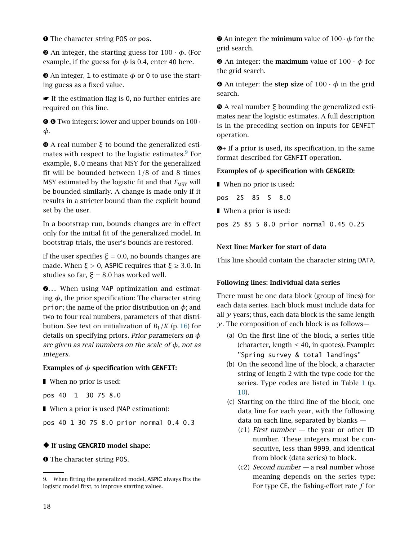➊ The character string POS or pos.

 $\Theta$  An integer, the starting guess for  $100 \cdot \phi$ . (For example, if the guess for  $\phi$  is 0.4, enter 40 here.

 $\Theta$  An integer, 1 to estimate  $\phi$  or 0 to use the starting guess as a fixed value.

☛ If the estimation flag is 0, no further entries are required on this line.

 $\odot$ **−☉** Two integers: lower and upper bounds on 100 · *φ*.

➏ A real number *ξ* to bound the generalized estimates with respect to the logistic estimates. $9$  For example, 8.0 means that MSY for the generalized fit will be bounded between 1*/*8 of and 8 times MSY estimated by the logistic fit and that  $F_{MSY}$  will be bounded similarly. A change is made only if it results in a stricter bound than the explicit bound set by the user.

In a bootstrap run, bounds changes are in effect only for the initial fit of the generalized model. In bootstrap trials, the user's bounds are restored.

If the user specifies  $\xi = 0.0$ , no bounds changes are made. When  $\xi > 0$ , ASPIC requires that  $\xi \geq 3.0$ . In studies so far,  $\xi = 8.0$  has worked well.

 $\odot$ ... When using MAP optimization and estimating *φ*, the prior specification: The character string prior; the name of the prior distribution on  $\phi$ ; and two to four real numbers, parameters of that distribution. See text on initialization of  $B_1/K$  (p. [16\)](#page-15-0) for details on specifying priors. Prior parameters on *φ* are given as real numbers on the scale of *φ*, not as integers.

#### Examples of *φ* specification with **GENFIT**:

■ When no prior is used:

pos 40 1 30 75 8.0

■ When a prior is used (MAP estimation):

pos 40 1 30 75 8.0 prior normal 0.4 0.3

#### ◆ If using **GENGRID** model shape:

➊ The character string POS.

➋ An integer: the minimum value of 100·*φ* for the grid search.

 $\Theta$  An integer: the **maximum** value of  $100 \cdot \phi$  for the grid search.

 $\bullet$  An integer: the step size of  $100 \cdot \phi$  in the grid search.

➎ A real number *ξ* bounding the generalized estimates near the logistic estimates. A full description is in the preceding section on inputs for GENFIT operation.

➏+ If a prior is used, its specification, in the same format described for GENFIT operation.

#### Examples of *φ* specification with **GENGRID**:

■ When no prior is used:

pos 25 85 5 8.0

■ When a prior is used:

pos 25 85 5 8.0 prior normal 0.45 0.25

#### Next line: Marker for start of data

This line should contain the character string DATA.

#### Following lines: Individual data series

There must be one data block (group of lines) for each data series. Each block must include data for all *y* years; thus, each data block is the same length  $\gamma$ . The composition of each block is as follows—

- (a) On the first line of the block, a series title (character, length  $\leq 40$ , in quotes). Example: ''Spring survey & total landings''
- (b) On the second line of the block, a character string of length 2 with the type code for the series. Type codes are listed in Table [1](#page-9-3) (p. [10\)](#page-9-3).
- (c) Starting on the third line of the block, one data line for each year, with the following data on each line, separated by blanks —
	- $(c1)$  First number  $-$  the year or other ID number. These integers must be consecutive, less than 9999, and identical from block (data series) to block.
	- (c2) Second number  $-$  a real number whose meaning depends on the series type: For type CE, the fishing-effort rate *f* for

<span id="page-17-0"></span><sup>9.</sup> When fitting the generalized model, ASPIC always fits the logistic model first, to improve starting values.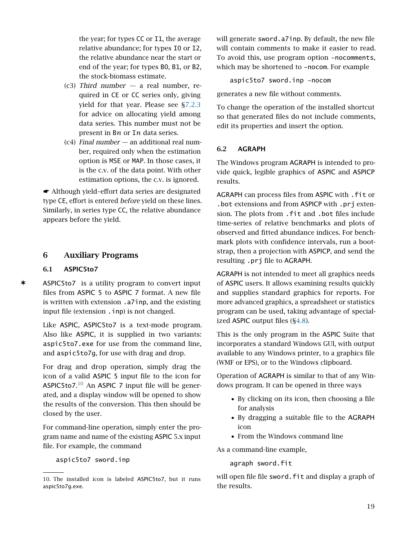the year; for types CC or I1, the average relative abundance; for types I0 or I2, the relative abundance near the start or end of the year; for types B0, B1, or B2, the stock-biomass estimate.

- (c3) Third number  $-$  a real number, required in CE or CC series only, giving yield for that year. Please see [§7.2.3](#page-22-3) for advice on allocating yield among data series. This number must not be present in B*n* or I*n* data series.
- $(c4)$  Final number an additional real number, required only when the estimation option is MSE or MAP. In those cases, it is the c.v. of the data point. With other estimation options, the c.v. is ignored.

☛ Although yield–effort data series are designated type CE, effort is entered before yield on these lines. Similarly, in series type CC, the relative abundance appears before the yield.

#### <span id="page-18-0"></span>6 Auxiliary Programs

#### <span id="page-18-1"></span>6.1 ASPIC5to7

✶ ASPIC5to7 is a utility program to convert input files from ASPIC 5 to ASPIC 7 format. A new file is written with extension .a7inp, and the existing input file (extension . inp) is not changed.

> Like ASPIC, ASPIC5to7 is a text-mode program. Also like ASPIC, it is supplied in two variants: aspic5to7.exe for use from the command line, and aspic5to7g, for use with drag and drop.

> For drag and drop operation, simply drag the icon of a valid ASPIC 5 input file to the icon for ASPIC5to7. $^{10}$  $^{10}$  $^{10}$  An ASPIC 7 input file will be generated, and a display window will be opened to show the results of the conversion. This then should be closed by the user.

> For command-line operation, simply enter the program name and name of the existing ASPIC 5.x input file. For example, the command

aspic5to7 sword.inp

will generate sword.a7inp. By default, the new file will contain comments to make it easier to read. To avoid this, use program option -nocomments, which may be shortened to -nocom. For example

aspic5to7 sword.inp -nocom

generates a new file without comments.

To change the operation of the installed shortcut so that generated files do not include comments, edit its properties and insert the option.

#### <span id="page-18-2"></span>6.2 AGRAPH

The Windows program AGRAPH is intended to provide quick, legible graphics of ASPIC and ASPICP results.

AGRAPH can process files from ASPIC with .fit or .bot extensions and from ASPICP with .prj extension. The plots from .fit and .bot files include time-series of relative benchmarks and plots of observed and fitted abundance indices. For benchmark plots with confidence intervals, run a bootstrap, then a projection with ASPICP, and send the resulting .prj file to AGRAPH.

AGRAPH is not intended to meet all graphics needs of ASPIC users. It allows examining results quickly and supplies standard graphics for reports. For more advanced graphics, a spreadsheet or statistics program can be used, taking advantage of specialized ASPIC output files ([§4.8\)](#page-9-0).

This is the only program in the ASPIC Suite that incorporates a standard Windows GUI, with output available to any Windows printer, to a graphics file (WMF or EPS), or to the Windows clipboard.

Operation of AGRAPH is similar to that of any Windows program. It can be opened in three ways

- By clicking on its icon, then choosing a file for analysis
- By dragging a suitable file to the AGRAPH icon
- From the Windows command line

As a command-line example,

agraph sword.fit

will open file file sword. fit and display a graph of the results.

<span id="page-18-3"></span><sup>10.</sup> The installed icon is labeled ASPIC5to7, but it runs aspic5to7g.exe.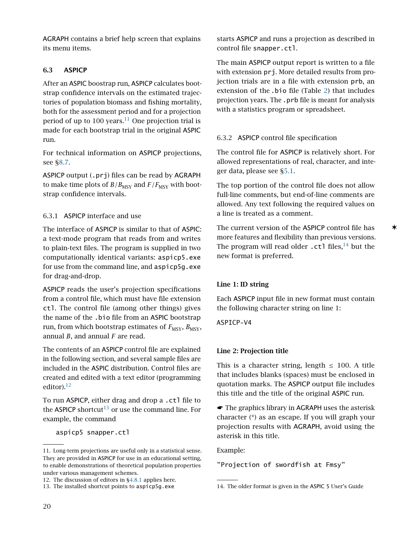AGRAPH contains a brief help screen that explains its menu items.

#### <span id="page-19-0"></span>6.3 ASPICP

After an ASPIC boostrap run, ASPICP calculates bootstrap confidence intervals on the estimated trajectories of population biomass and fishing mortality, both for the assessment period and for a projection period of up to 100 years.<sup>[11](#page-19-3)</sup> One projection trial is made for each bootstrap trial in the original ASPIC run.

For technical information on ASPICP projections, see [§8.7.](#page-30-0)

ASPICP output (.prj) files can be read by AGRAPH to make time plots of  $B/B_{\rm MSY}$  and  $F/F_{\rm MSY}$  with bootstrap confidence intervals.

#### <span id="page-19-1"></span>6.3.1 ASPICP interface and use

The interface of ASPICP is similar to that of ASPIC: a text-mode program that reads from and writes to plain-text files. The program is supplied in two computationally identical variants: aspicp5.exe for use from the command line, and aspicp5g.exe for drag-and-drop.

ASPICP reads the user's projection specifications from a control file, which must have file extension ctl. The control file (among other things) gives the name of the .bio file from an ASPIC bootstrap run, from which bootstrap estimates of  $F_{\text{MSY}}, B_{\text{MSY}},$ annual *B*, and annual *F* are read.

The contents of an ASPICP control file are explained in the following section, and several sample files are included in the ASPIC distribution. Control files are created and edited with a text editor (programming editor). $12$ 

To run ASPICP, either drag and drop a .ctl file to the ASPICP shortcut<sup>[13](#page-19-5)</sup> or use the command line. For example, the command

aspicp5 snapper.ctl

starts ASPICP and runs a projection as described in control file snapper.ctl.

The main ASPICP output report is written to a file with extension prj. More detailed results from projection trials are in a file with extension prb, an extension of the .bio file (Table [2\)](#page-10-1) that includes projection years. The .prb file is meant for analysis with a statistics program or spreadsheet.

## <span id="page-19-2"></span>6.3.2 ASPICP control file specification

The control file for ASPICP is relatively short. For allowed representations of real, character, and integer data, please see [§5.1.](#page-11-1)

The top portion of the control file does not allow full-line comments, but end-of-line comments are allowed. Any text following the required values on a line is treated as a comment.

The current version of the ASPICP control file has  $\star$ more features and flexibility than previous versions. The program will read older  $.ct1$  files,<sup>[14](#page-19-6)</sup> but the new format is preferred.

#### Line 1: ID string

Each ASPICP input file in new format must contain the following character string on line 1:

ASPICP-V4

#### Line 2: Projection title

This is a character string, length  $\leq$  100. A title that includes blanks (spaces) must be enclosed in quotation marks. The ASPICP output file includes this title and the title of the original ASPIC run.

☛ The graphics library in AGRAPH uses the asterisk character (\*) as an escape. If you will graph your projection results with AGRAPH, avoid using the asterisk in this title.

Example:

"Projection of swordfish at Fmsy"

<span id="page-19-3"></span><sup>11.</sup> Long-term projections are useful only in a statistical sense. They are provided in ASPICP for use in an educational setting, to enable demonstrations of theoretical population properties under various management schemes.

<span id="page-19-4"></span><sup>12.</sup> The discussion of editors in [§4.8.1](#page-9-1) applies here.

<span id="page-19-5"></span><sup>13.</sup> The installed shortcut points to aspicp5g.exe

<span id="page-19-6"></span><sup>14.</sup> The older format is given in the ASPIC 5 User's Guide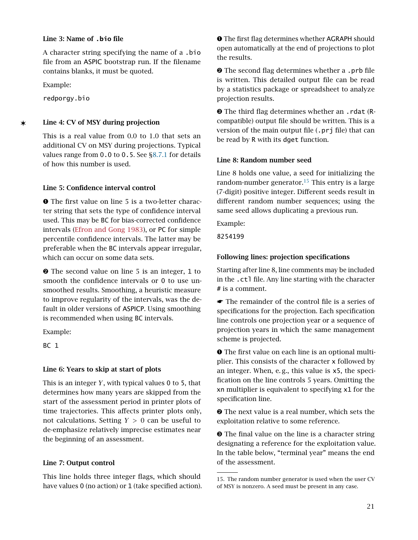#### Line 3: Name of **.bio** file

A character string specifying the name of a .bio file from an ASPIC bootstrap run. If the filename contains blanks, it must be quoted.

Example:

redporgy.bio

✶ Line 4: CV of MSY during projection

This is a real value from 0.0 to 1.0 that sets an additional CV on MSY during projections. Typical values range from 0.0 to 0.5. See [§8.7.1](#page-30-1) for details of how this number is used.

#### Line 5: Confidence interval control

➊ The first value on line 5 is a two-letter character string that sets the type of confidence interval used. This may be BC for bias-corrected confidence intervals [\(Efron and Gong](#page-31-20) [1983\)](#page-31-20), or PC for simple percentile confidence intervals. The latter may be preferable when the BC intervals appear irregular, which can occur on some data sets.

➋ The second value on line 5 is an integer, 1 to smooth the confidence intervals or 0 to use unsmoothed results. Smoothing, a heuristic measure to improve regularity of the intervals, was the default in older versions of ASPICP. Using smoothing is recommended when using BC intervals.

Example:

BC 1

## Line 6: Years to skip at start of plots

This is an integer *Y*, with typical values 0 to 5, that determines how many years are skipped from the start of the assessment period in printer plots of time trajectories. This affects printer plots only, not calculations. Setting *Y >* 0 can be useful to de-emphasize relatively imprecise estimates near the beginning of an assessment.

## Line 7: Output control

This line holds three integer flags, which should have values 0 (no action) or 1 (take specified action). ➊ The first flag determines whether AGRAPH should open automatically at the end of projections to plot the results.

 $\odot$  The second flag determines whether a .prb file is written. This detailed output file can be read by a statistics package or spreadsheet to analyze projection results.

➌ The third flag determines whether an .rdat (Rcompatible) output file should be written. This is a version of the main output file (.prj file) that can be read by R with its dget function.

#### Line 8: Random number seed

Line 8 holds one value, a seed for initializing the random-number generator.<sup>[15](#page-20-1)</sup> This entry is a large (7-digit) positive integer. Different seeds result in different random number sequences; using the same seed allows duplicating a previous run.

Example:

8254199

## <span id="page-20-0"></span>Following lines: projection specifications

Starting after line 8, line comments may be included in the .ctl file. Any line starting with the character # is a comment.

☛ The remainder of the control file is a series of specifications for the projection. Each specification line controls one projection year or a sequence of projection years in which the same management scheme is projected.

➊ The first value on each line is an optional multiplier. This consists of the character x followed by an integer. When, e. g., this value is x5, the specification on the line controls 5 years. Omitting the xn multiplier is equivalent to specifying x1 for the specification line.

➋ The next value is a real number, which sets the exploitation relative to some reference.

➌ The final value on the line is a character string designating a reference for the exploitation value. In the table below, "terminal year" means the end of the assessment.

<span id="page-20-1"></span><sup>15.</sup> The random number generator is used when the user CV of MSY is nonzero. A seed must be present in any case.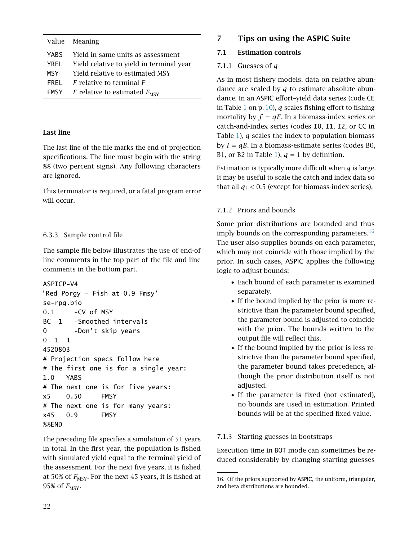|                                               | Value Meaning                                                  |  |  |
|-----------------------------------------------|----------------------------------------------------------------|--|--|
|                                               | YABS Yield in same units as assessment                         |  |  |
| YREL Yield relative to yield in terminal year |                                                                |  |  |
|                                               | MSY Yield relative to estimated MSY                            |  |  |
|                                               | <b>FREL</b> $\overline{F}$ relative to terminal $\overline{F}$ |  |  |
|                                               | <b>FMSY</b> F relative to estimated $F_{\text{MSY}}$           |  |  |

#### Last line

The last line of the file marks the end of projection specifications. The line must begin with the string %% (two percent signs). Any following characters are ignored.

This terminator is required, or a fatal program error will occur.

#### <span id="page-21-0"></span>6.3.3 Sample control file

The sample file below illustrates the use of end-of line comments in the top part of the file and line comments in the bottom part.

```
ASPICP-V4
'Red Porgy - Fish at 0.9 Fmsy'
se-rpg.bio
0.1 -CV of MSY
BC 1 -Smoothed intervals
0 -Don't skip years
0 1 1
4520803
# Projection specs follow here
# The first one is for a single year:
1.0 YABS
# The next one is for five years:
x5 0.50 FMSY
# The next one is for many years:
x45 0.9 FMSY
%%END
```
The preceding file specifies a simulation of 51 years in total. In the first year, the population is fished with simulated yield equal to the terminal yield of the assessment. For the next five years, it is fished at 50% of  $F_{\text{MSY}}$ . For the next 45 years, it is fished at 95% of  $F_{\text{MSY}}$ .

## <span id="page-21-1"></span>7 Tips on using the ASPIC Suite

#### <span id="page-21-3"></span><span id="page-21-2"></span>7.1 Estimation controls

#### 7.1.1 Guesses of *q*

As in most fishery models, data on relative abundance are scaled by *q* to estimate absolute abundance. In an ASPIC effort–yield data series (code CE in Table [1](#page-9-3) on p. [10\)](#page-9-3), *q* scales fishing effort to fishing mortality by  $f = qF$ . In a biomass-index series or catch-and-index series (codes I0, I1, I2, or CC in Table [1\)](#page-9-3), *q* scales the index to population biomass by  $I = qB$ . In a biomass-estimate series (codes B0, B1, or B2 in Table [1\)](#page-9-3),  $q = 1$  by definition.

Estimation is typically more difficult when *q* is large. It may be useful to scale the catch and index data so that all  $q_i$  < 0.5 (except for biomass-index series).

#### <span id="page-21-4"></span>7.1.2 Priors and bounds

Some prior distributions are bounded and thus imply bounds on the corresponding parameters.  $16$ The user also supplies bounds on each parameter, which may not coincide with those implied by the prior. In such cases, ASPIC applies the following logic to adjust bounds:

- Each bound of each parameter is examined separately.
- If the bound implied by the prior is more restrictive than the parameter bound specified, the parameter bound is adjusted to coincide with the prior. The bounds written to the output file will reflect this.
- If the bound implied by the prior is less restrictive than the parameter bound specified, the parameter bound takes precedence, although the prior distribution itself is not adjusted.
- If the parameter is fixed (not estimated), no bounds are used in estimation. Printed bounds will be at the specified fixed value.

#### <span id="page-21-5"></span>7.1.3 Starting guesses in bootstraps

Execution time in BOT mode can sometimes be reduced considerably by changing starting guesses

<span id="page-21-6"></span><sup>16.</sup> Of the priors supported by ASPIC, the uniform, triangular, and beta distributions are bounded.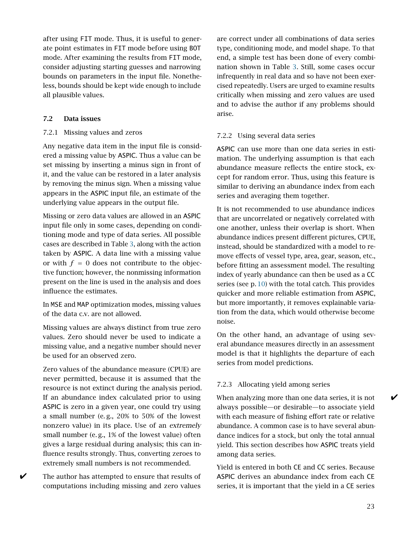after using FIT mode. Thus, it is useful to generate point estimates in FIT mode before using BOT mode. After examining the results from FIT mode, consider adjusting starting guesses and narrowing bounds on parameters in the input file. Nonetheless, bounds should be kept wide enough to include all plausible values.

#### <span id="page-22-1"></span><span id="page-22-0"></span>7.2 Data issues

#### 7.2.1 Missing values and zeros

Any negative data item in the input file is considered a missing value by ASPIC. Thus a value can be set missing by inserting a minus sign in front of it, and the value can be restored in a later analysis by removing the minus sign. When a missing value appears in the ASPIC input file, an estimate of the underlying value appears in the output file.

Missing or zero data values are allowed in an ASPIC input file only in some cases, depending on conditioning mode and type of data series. All possible cases are described in Table [3,](#page-23-0) along with the action taken by ASPIC. A data line with a missing value or with  $f = 0$  does not contribute to the objective function; however, the nonmissing information present on the line is used in the analysis and does influence the estimates.

In MSE and MAP optimization modes, missing values of the data c.v. are not allowed.

Missing values are always distinct from true zero values. Zero should never be used to indicate a missing value, and a negative number should never be used for an observed zero.

Zero values of the abundance measure (CPUE) are never permitted, because it is assumed that the resource is not extinct during the analysis period. If an abundance index calculated prior to using ASPIC is zero in a given year, one could try using a small number (e. g., 20% to 50% of the lowest nonzero value) in its place. Use of an extremely small number (e. g., 1% of the lowest value) often gives a large residual during analysis; this can influence results strongly. Thus, converting zeroes to extremely small numbers is not recommended.

 $\triangleright$  The author has attempted to ensure that results of computations including missing and zero values

are correct under all combinations of data series type, conditioning mode, and model shape. To that end, a simple test has been done of every combination shown in Table [3.](#page-23-0) Still, some cases occur infrequently in real data and so have not been exercised repeatedly. Users are urged to examine results critically when missing and zero values are used and to advise the author if any problems should arise.

#### <span id="page-22-2"></span>7.2.2 Using several data series

ASPIC can use more than one data series in estimation. The underlying assumption is that each abundance measure reflects the entire stock, except for random error. Thus, using this feature is similar to deriving an abundance index from each series and averaging them together.

It is not recommended to use abundance indices that are uncorrelated or negatively correlated with one another, unless their overlap is short. When abundance indices present different pictures, CPUE, instead, should be standardized with a model to remove effects of vessel type, area, gear, season, etc., before fitting an assessment model. The resulting index of yearly abundance can then be used as a CC series (see p. [10\)](#page-9-3) with the total catch. This provides quicker and more reliable estimation from ASPIC, but more importantly, it removes explainable variation from the data, which would otherwise become noise.

On the other hand, an advantage of using several abundance measures directly in an assessment model is that it highlights the departure of each series from model predictions.

#### <span id="page-22-3"></span>7.2.3 Allocating yield among series

When analyzing more than one data series, it is not  $\mathscr V$ always possible—or desirable—to associate yield with each measure of fishing effort rate or relative abundance. A common case is to have several abundance indices for a stock, but only the total annual yield. This section describes how ASPIC treats yield among data series.

Yield is entered in both CE and CC series. Because ASPIC derives an abundance index from each CE series, it is important that the yield in a CE series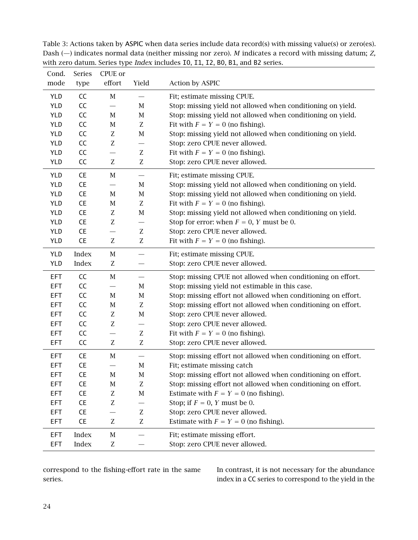| Cond.      | Series    | CPUE or                       |                               |                                                               |
|------------|-----------|-------------------------------|-------------------------------|---------------------------------------------------------------|
| mode       | type      | effort                        | Yield                         | <b>Action by ASPIC</b>                                        |
| <b>YLD</b> | CC        | $\mathbf M$                   |                               | Fit; estimate missing CPUE.                                   |
| YLD        | CC        | $\overline{\phantom{0}}$      | M                             | Stop: missing yield not allowed when conditioning on yield.   |
| YLD        | CC        | $\mathbf M$                   | M                             | Stop: missing yield not allowed when conditioning on yield.   |
| <b>YLD</b> | CC        | $\mathbf M$                   | $\ensuremath{\mathbf{Z}}$     | Fit with $F = Y = 0$ (no fishing).                            |
| <b>YLD</b> | CC        | $\ensuremath{\textnormal{Z}}$ | $\mathbf M$                   | Stop: missing yield not allowed when conditioning on yield.   |
| YLD        | CC        | Z                             | —                             | Stop: zero CPUE never allowed.                                |
| <b>YLD</b> | CC        |                               | $\ensuremath{\textnormal{Z}}$ | Fit with $F = Y = 0$ (no fishing).                            |
| YLD        | CC        | Z                             | $\ensuremath{\mathbf{Z}}$     | Stop: zero CPUE never allowed.                                |
| <b>YLD</b> | CE        | $\mathbf M$                   |                               | Fit; estimate missing CPUE.                                   |
| YLD        | CE        | $\overline{\phantom{0}}$      | M                             | Stop: missing yield not allowed when conditioning on yield.   |
| <b>YLD</b> | CE        | М                             | M                             | Stop: missing yield not allowed when conditioning on yield.   |
| <b>YLD</b> | CE        | $\mathbf M$                   | $\ensuremath{\mathbf{Z}}$     | Fit with $F = Y = 0$ (no fishing).                            |
| YLD        | CE        | $\ensuremath{\textnormal{Z}}$ | $\mathbf M$                   | Stop: missing yield not allowed when conditioning on yield.   |
| <b>YLD</b> | CE        | Z                             | $\overline{\phantom{0}}$      | Stop for error: when $F = 0$ , Y must be 0.                   |
| <b>YLD</b> | <b>CE</b> |                               | $\ensuremath{\textnormal{Z}}$ | Stop: zero CPUE never allowed.                                |
| YLD        | CE        | Z                             | Z                             | Fit with $F = Y = 0$ (no fishing).                            |
| <b>YLD</b> | Index     | $\mathbf M$                   | $\overline{\phantom{0}}$      | Fit; estimate missing CPUE.                                   |
| YLD        | Index     | Z                             |                               | Stop: zero CPUE never allowed.                                |
| <b>EFT</b> | CC        | $\mathbf M$                   |                               | Stop: missing CPUE not allowed when conditioning on effort.   |
| <b>EFT</b> | CC        |                               | M                             | Stop: missing yield not estimable in this case.               |
| <b>EFT</b> | CC        | $\mathbf M$                   | $\mathbf M$                   | Stop: missing effort not allowed when conditioning on effort. |
| <b>EFT</b> | CC        | $\mathbf M$                   | $\ensuremath{\mathbf{Z}}$     | Stop: missing effort not allowed when conditioning on effort. |
| <b>EFT</b> | CC        | $\ensuremath{\textnormal{Z}}$ | M                             | Stop: zero CPUE never allowed.                                |
| <b>EFT</b> | CC        | Z                             | —                             | Stop: zero CPUE never allowed.                                |
| <b>EFT</b> | CC        |                               | Z                             | Fit with $F = Y = 0$ (no fishing).                            |
| <b>EFT</b> | CC        | Z                             | $\ensuremath{\mathbf{Z}}$     | Stop: zero CPUE never allowed.                                |
| EFT        | CE        | $\mathbf M$                   |                               | Stop: missing effort not allowed when conditioning on effort. |
| <b>EFT</b> | CE        |                               | $\mathbf M$                   | Fit; estimate missing catch                                   |
| <b>EFT</b> | CE        | $\mathbf M$                   | $\mathbf M$                   | Stop: missing effort not allowed when conditioning on effort. |
| <b>EFT</b> | CE        | $\mathbf M$                   | Z                             | Stop: missing effort not allowed when conditioning on effort. |
| <b>EFT</b> | CE        | Z                             | $\mathbf M$                   | Estimate with $F = Y = 0$ (no fishing).                       |
| <b>EFT</b> | <b>CE</b> | Z                             |                               | Stop; if $F = 0$ , Y must be 0.                               |
| <b>EFT</b> | CE        |                               | Z                             | Stop: zero CPUE never allowed.                                |
| <b>EFT</b> | CE        | Z                             | $\ensuremath{\mathbf{Z}}$     | Estimate with $F = Y = 0$ (no fishing).                       |
| <b>EFT</b> | Index     | $\mathbf M$                   |                               | Fit; estimate missing effort.                                 |
| <b>EFT</b> | Index     | Z                             |                               | Stop: zero CPUE never allowed.                                |

<span id="page-23-0"></span>Table 3: Actions taken by ASPIC when data series include data record(s) with missing value(s) or zero(es). Dash (—) indicates normal data (neither missing nor zero). M indicates a record with missing datum; Z, with zero datum. Series type Index includes I0, I1, I2, B0, B1, and B2 series.

correspond to the fishing-effort rate in the same series.

In contrast, it is not necessary for the abundance index in a CC series to correspond to the yield in the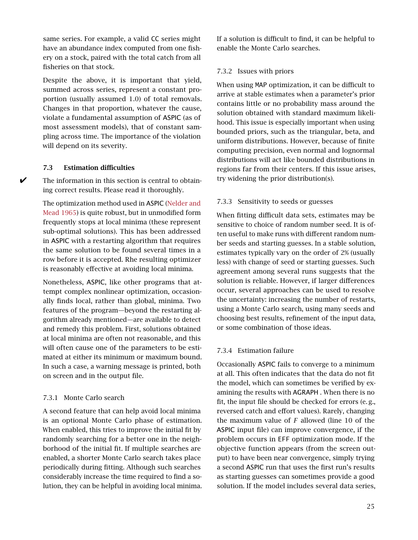same series. For example, a valid CC series might have an abundance index computed from one fishery on a stock, paired with the total catch from all fisheries on that stock.

Despite the above, it is important that yield, summed across series, represent a constant proportion (usually assumed 1*.*0) of total removals. Changes in that proportion, whatever the cause, violate a fundamental assumption of ASPIC (as of most assessment models), that of constant sampling across time. The importance of the violation will depend on its severity.

#### <span id="page-24-0"></span>7.3 Estimation difficulties

 $\checkmark$  The information in this section is central to obtaining correct results. Please read it thoroughly.

> The optimization method used in ASPIC [\(Nelder and](#page-31-21) [Mead](#page-31-21) [1965\)](#page-31-21) is quite robust, but in unmodified form frequently stops at local minima (these represent sub-optimal solutions). This has been addressed in ASPIC with a restarting algorithm that requires the same solution to be found several times in a row before it is accepted. Rhe resulting optimizer is reasonably effective at avoiding local minima.

> Nonetheless, ASPIC, like other programs that attempt complex nonlinear optimization, occasionally finds local, rather than global, minima. Two features of the program—beyond the restarting algorithm already mentioned—are available to detect and remedy this problem. First, solutions obtained at local minima are often not reasonable, and this will often cause one of the parameters to be estimated at either its minimum or maximum bound. In such a case, a warning message is printed, both on screen and in the output file.

#### <span id="page-24-1"></span>7.3.1 Monte Carlo search

A second feature that can help avoid local minima is an optional Monte Carlo phase of estimation. When enabled, this tries to improve the initial fit by randomly searching for a better one in the neighborhood of the initial fit. If multiple searches are enabled, a shorter Monte Carlo search takes place periodically during fitting. Although such searches considerably increase the time required to find a solution, they can be helpful in avoiding local minima. If a solution is difficult to find, it can be helpful to enable the Monte Carlo searches.

#### <span id="page-24-2"></span>7.3.2 Issues with priors

When using MAP optimization, it can be difficult to arrive at stable estimates when a parameter's prior contains little or no probability mass around the solution obtained with standard maximum likelihood. This issue is especially important when using bounded priors, such as the triangular, beta, and uniform distributions. However, because of finite computing precision, even normal and lognormal distributions will act like bounded distributions in regions far from their centers. If this issue arises, try widening the prior distribution(s).

#### <span id="page-24-3"></span>7.3.3 Sensitivity to seeds or guesses

When fitting difficult data sets, estimates may be sensitive to choice of random number seed. It is often useful to make runs with different random number seeds and starting guesses. In a stable solution, estimates typically vary on the order of 2% (usually less) with change of seed or starting guesses. Such agreement among several runs suggests that the solution is reliable. However, if larger differences occur, several approaches can be used to resolve the uncertainty: increasing the number of restarts, using a Monte Carlo search, using many seeds and choosing best results, refinement of the input data, or some combination of those ideas.

#### <span id="page-24-4"></span>7.3.4 Estimation failure

Occasionally ASPIC fails to converge to a minimum at all. This often indicates that the data do not fit the model, which can sometimes be verified by examining the results with AGRAPH . When there is no fit, the input file should be checked for errors (e. g., reversed catch and effort values). Rarely, changing the maximum value of *F* allowed (line 10 of the ASPIC input file) can improve convergence, if the problem occurs in EFF optimization mode. If the objective function appears (from the screen output) to have been near convergence, simply trying a second ASPIC run that uses the first run's results as starting guesses can sometimes provide a good solution. If the model includes several data series,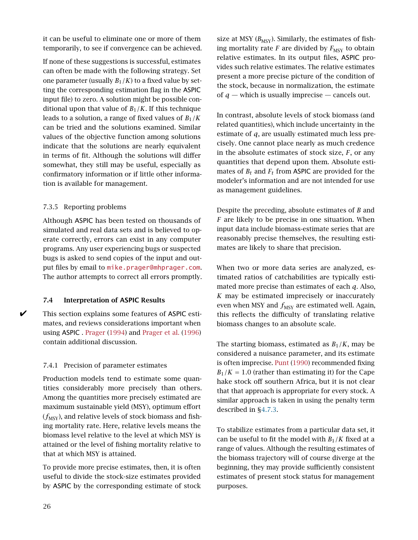it can be useful to eliminate one or more of them temporarily, to see if convergence can be achieved.

If none of these suggestions is successful, estimates can often be made with the following strategy. Set one parameter (usually  $B_1/K$ ) to a fixed value by setting the corresponding estimation flag in the ASPIC input file) to zero. A solution might be possible conditional upon that value of  $B_1/K$ . If this technique leads to a solution, a range of fixed values of *B*1*/K* can be tried and the solutions examined. Similar values of the objective function among solutions indicate that the solutions are nearly equivalent in terms of fit. Although the solutions will differ somewhat, they still may be useful, especially as confirmatory information or if little other information is available for management.

#### <span id="page-25-0"></span>7.3.5 Reporting problems

Although ASPIC has been tested on thousands of simulated and real data sets and is believed to operate correctly, errors can exist in any computer programs. Any user experiencing bugs or suspected bugs is asked to send copies of the input and output files by email to [mike.prager@mhprager.com](mailto:mike.prager@mhprager.com). The author attempts to correct all errors promptly.

#### <span id="page-25-1"></span>7.4 Interpretation of ASPIC Results

This section explains some features of ASPIC estimates, and reviews considerations important when using ASPIC . [Prager](#page-31-0) [\(1994\)](#page-31-0) and [Prager et al.](#page-31-16) [\(1996\)](#page-31-16) contain additional discussion.

#### <span id="page-25-2"></span>7.4.1 Precision of parameter estimates

Production models tend to estimate some quantities considerably more precisely than others. Among the quantities more precisely estimated are maximum sustainable yield (MSY), optimum effort  $(f<sub>MSY</sub>)$ , and relative levels of stock biomass and fishing mortality rate. Here, relative levels means the biomass level relative to the level at which MSY is attained or the level of fishing mortality relative to that at which MSY is attained.

To provide more precise estimates, then, it is often useful to divide the stock-size estimates provided by ASPIC by the corresponding estimate of stock

size at MSY  $(B_{MSY})$ . Similarly, the estimates of fishing mortality rate  $F$  are divided by  $F_{\text{MSY}}$  to obtain relative estimates. In its output files, ASPIC provides such relative estimates. The relative estimates present a more precise picture of the condition of the stock, because in normalization, the estimate of  $q$  — which is usually imprecise — cancels out.

In contrast, absolute levels of stock biomass (and related quantities), which include uncertainty in the estimate of *q*, are usually estimated much less precisely. One cannot place nearly as much credence in the absolute estimates of stock size, *F*, or any quantities that depend upon them. Absolute estimates of  $B_t$  and  $F_t$  from ASPIC are provided for the modeler's information and are not intended for use as management guidelines.

Despite the preceding, absolute estimates of *B* and *F* are likely to be precise in one situation. When input data include biomass-estimate series that are reasonably precise themselves, the resulting estimates are likely to share that precision.

When two or more data series are analyzed, estimated ratios of catchabilities are typically estimated more precise than estimates of each *q*. Also, *K* may be estimated imprecisely or inaccurately even when MSY and  $f_{\text{MSY}}$  are estimated well. Again, this reflects the difficulty of translating relative biomass changes to an absolute scale.

The starting biomass, estimated as  $B_1/K$ , may be considered a nuisance parameter, and its estimate is often imprecise. [Punt](#page-31-19) [\(1990\)](#page-31-19) recommended fixing  $B_1/K = 1.0$  (rather than estimating it) for the Cape hake stock off southern Africa, but it is not clear that that approach is appropriate for every stock. A similar approach is taken in using the penalty term described in [§4.7.3.](#page-8-4)

To stabilize estimates from a particular data set, it can be useful to fit the model with  $B_1/K$  fixed at a range of values. Although the resulting estimates of the biomass trajectory will of course diverge at the beginning, they may provide sufficiently consistent estimates of present stock status for management purposes.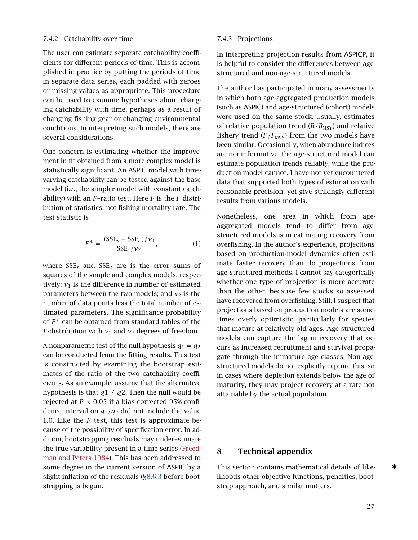#### <span id="page-26-1"></span>7.4.2 Catchability over time

The user can estimate separate catchability coefficients for different periods of time. This is accomplished in practice by putting the periods of time in separate data series, each padded with zeroes or missing values as appropriate. This procedure can be used to examine hypotheses about changing catchability with time, perhaps as a result of changing fishing gear or changing environmental conditions. In interpreting such models, there are several considerations.

One concern is estimating whether the improvement in fit obtained from a more complex model is statistically significant. An ASPIC model with timevarying catchability can be tested against the base model (i.e., the simpler model with constant catchability) with an *F*–ratio test. Here *F* is the *F* distribution of statistics, not fishing mortality rate. The test statistic is

$$
F^* = \frac{(SSE_s - SSE_c)/v_1}{SSE_c/v_2},\tag{1}
$$

where  $SSE<sub>s</sub>$  and  $SSE<sub>c</sub>$  are is the error sums of squares of the simple and complex models, respectively;  $v_1$  is the difference in number of estimated parameters between the two models; and  $v_2$  is the number of data points less the total number of estimated parameters. The significance probability of *F* <sup>∗</sup> can be obtained from standard tables of the *F*-distribution with  $v_1$  and  $v_2$  degrees of freedom.

A nonparametric test of the null hypothesis  $q_1 = q_2$ can be conducted from the fitting results. This test is constructed by examining the bootstrap estimates of the ratio of the two catchability coefficients. As an example, assume that the alternative hypothesis is that  $q1 \neq q2$ . Then the null would be rejected at *P <* 0*.*05 if a bias-corrected 95% confidence interval on *q*1*/q*<sup>2</sup> did not include the value 1.0. Like the *F* test, this test is approximate because of the possibility of specification error. In addition, bootstrapping residuals may underestimate the true variability present in a time series [\(Freed](#page-31-22)[man and Peters](#page-31-22) [1984\)](#page-31-22). This has been addressed to some degree in the current version of ASPIC by a slight inflation of the residuals ([§8.6.3](#page-29-5) before bootstrapping is begun.

#### <span id="page-26-2"></span>7.4.3 Projections

In interpreting projection results from ASPICP, it is helpful to consider the differences between agestructured and non-age-structured models.

The author has participated in many assessments in which both age-aggregated production models (such as ASPIC) and age-structured (cohort) models were used on the same stock. Usually, estimates of relative population trend  $(B/B<sub>MSY</sub>)$  and relative fishery trend  $(F/F_{MSV})$  from the two models have been similar. Occasionally, when abundance indices are noninformative, the age-structured model can estimate population trends reliably, while the production model cannot. I have not yet encountered data that supported both types of estimation with reasonable precision, yet give strikingly different results from various models.

Nonetheless, one area in which from ageaggregated models tend to differ from agestructured models is in estimating recovery from overfishing. In the author's experience, projections based on production-model dynamics often estimate faster recovery than do projections from age-structured methods. I cannot say categorically whether one type of projection is more accurate than the other, because few stocks so assessed have recovered from overfishing. Still, I suspect that projections based on production models are sometimes overly optimistic, particularly for species that mature at relatively old ages. Age-structured models can capture the lag in recovery that occurs as increased recruitment and survival propagate through the immature age classes. Non-agestructured models do not explicitly capture this, so in cases where depletion extends below the age of maturity, they may project recovery at a rate not attainable by the actual population.

#### <span id="page-26-0"></span>8 Technical appendix

This section contains mathematical details of like- $\star$ lihoods other objective functions, penalties, bootstrap approach, and similar matters.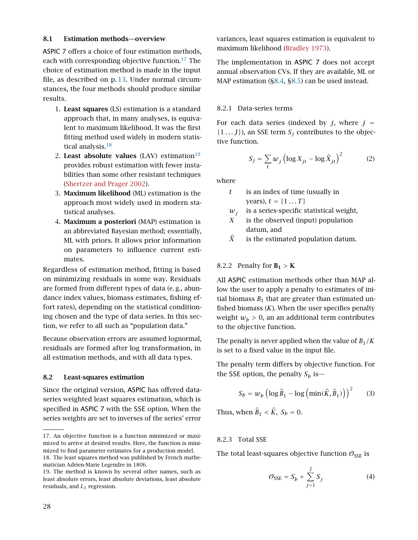#### <span id="page-27-0"></span>8.1 Estimation methods—overview

ASPIC 7 offers a choice of four estimation methods, each with corresponding objective function.<sup>[17](#page-27-5)</sup> The choice of estimation method is made in the input file, as described on p. [13.](#page-12-1) Under normal circumstances, the four methods should produce similar results.

- 1. Least squares (LS) estimation is a standard approach that, in many analyses, is equivalent to maximum likelihood. It was the first fitting method used widely in modern statis-tical analysis.<sup>[18](#page-27-6)</sup>
- 2. Least absolute values (LAV) estimation $19$ provides robust estimation with fewer instabilities than some other resistant techniques [\(Shertzer and Prager](#page-32-2) [2002\)](#page-32-2).
- 3. Maximum likelihood (ML) estimation is the approach most widely used in modern statistical analyses.
- 4. Maximum a posteriori (MAP) estimation is an abbreviated Bayesian method; essentially, ML with priors. It allows prior information on parameters to influence current estimates.

Regardless of estimation method, fitting is based on minimizing residuals in some way. Residuals are formed from different types of data (e. g., abundance index values, biomass estimates, fishing effort rates), depending on the statistical conditioning chosen and the type of data series. In this section, we refer to all such as "population data."

Because observation errors are assumed lognormal, residuals are formed after log transformation, in all estimation methods, and with all data types.

#### <span id="page-27-1"></span>8.2 Least-squares estimation

Since the original version, ASPIC has offered dataseries weighted least squares estimation, which is specified in ASPIC 7 with the SSE option. When the series weights are set to inverses of the series' error

<span id="page-27-6"></span>18. The least squares method was published by French mathematician Adrien-Marie Legendre in 1806.

variances, least squares estimation is equivalent to maximum likelihood [\(Bradley](#page-31-23) [1973\)](#page-31-23).

The implementation in ASPIC 7 does not accept annual observation CVs. If they are available, ML or MAP estimation ([§8.4,](#page-28-4) [§8.5\)](#page-29-1) can be used instead.

#### <span id="page-27-2"></span>8.2.1 Data-series terms

For each data series (indexed by  $j$ , where  $j =$  $\{1...J\}$ ), an SSE term  $S_j$  contributes to the objective function.

$$
S_j = \sum_t w_j \left( \log X_{jt} - \log \hat{X}_{jt} \right)^2 \tag{2}
$$

where

*t* is an index of time (usually in years),  $t = \{1...T\}$ 

$$
w_j
$$
 is a series-specific statistical weight,

*X* is the observed (input) population datum, and

 $\hat{X}$  is the estimated population datum.

#### <span id="page-27-3"></span>8.2.2 Penalty for  $B_1 > K$

All ASPIC estimation methods other than MAP allow the user to apply a penalty to estimates of initial biomass  $B_1$  that are greater than estimated unfished biomass  $(K)$ . When the user specifies penalty weight  $w_b > 0$ , an an additional term contributes to the objective function.

The penalty is never applied when the value of  $B_1/K$ is set to a fixed value in the input file.

The penalty term differs by objective function. For the SSE option, the penalty  $S_b$  is—

$$
S_b = w_b \left( \log \hat{B}_1 - \log \left( \min(\hat{K}, \hat{B}_1) \right) \right)^2 \tag{3}
$$

Thus, when  $B_1 < K$ ,  $S_b = 0$ .

#### <span id="page-27-4"></span>8.2.3 Total SSE

The total least-squares objective function  $\mathcal{O}_{\text{SSE}}$  is

$$
\mathcal{O}_{\text{SSE}} = S_b + \sum_{j=1}^{J} S_j \tag{4}
$$

<span id="page-27-5"></span><sup>17.</sup> An objective function is a function minimized or maximized to arrive at desired results. Here, the function is minimized to find parameter estimates for a production model.

<span id="page-27-7"></span><sup>19.</sup> The method is known by several other names, such as least absolute errors, least absolute deviations, least absolute residuals, and *L*1 regression.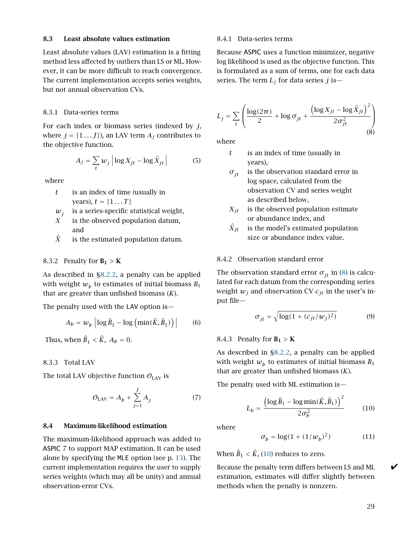#### <span id="page-28-0"></span>8.3 Least absolute values estimation

Least absolute values (LAV) estimation is a fitting method less affected by outliers than LS or ML. However, it can be more difficult to reach convergence. The current implementation accepts series weights, but not annual observation CVs.

#### <span id="page-28-1"></span>8.3.1 Data-series terms

For each index or biomass series (indexed by *j*, where  $j = \{1 \dots J\}$ , an LAV term  $A_j$  contributes to the objective function.

$$
A_j = \sum_t w_j \left| \log X_{jt} - \log \hat{X}_{jt} \right| \tag{5}
$$

where

- *t* is an index of time (usually in years),  $t = \{1...T\}$
- $w_i$ is a series-specific statistical weight,
- *X* is the observed population datum, and
- $\hat{X}$  is the estimated population datum.

#### <span id="page-28-2"></span>8.3.2 Penalty for  $B_1 > K$

As described in [§8.2.2,](#page-27-3) a penalty can be applied with weight  $w_b$  to estimates of initial biomass  $B_1$ that are greater than unfished biomass (*K*).

The penalty used with the LAV option is—

$$
A_b = w_b \left| \log \hat{B}_1 - \log \left( \min(\hat{K}, \hat{B}_1) \right) \right| \qquad (6)
$$

Thus, when  $B_1 < K$ ,  $A_b = 0$ .

<span id="page-28-3"></span>8.3.3 Total LAV

The total LAV objective function  $\mathcal{O}_{\text{LAV}}$  is

$$
\mathcal{O}_{\text{LAV}} = A_b + \sum_{j=1}^{J} A_j \tag{7}
$$

#### <span id="page-28-4"></span>8.4 Maximum-likelihood estimation

The maximum-likelihood approach was added to ASPIC 7 to support MAP estimation. It can be used alone by specifying the MLE option (see p. [13\)](#page-12-1). The current implementation requires the user to supply series weights (which may all be unity) and annual observation-error CVs.

#### <span id="page-28-5"></span>8.4.1 Data-series terms

Because ASPIC uses a function minimizer, negative log likelihood is used as the objective function. This is formulated as a sum of terms, one for each data series. The term *L<sup>j</sup>* for data series *j* is—

<span id="page-28-8"></span>
$$
L_j = \sum_{t} \left( \frac{\log(2\pi)}{2} + \log \sigma_{jt} + \frac{\left(\log X_{jt} - \log \hat{X}_{jt}\right)^2}{2\sigma_{jt}^2} \right)
$$
\n(8)

where

- *t* is an index of time (usually in years),
- *σjt* is the observation standard error in log space, calculated from the observation CV and series weight as described below,
- $X_{it}$  is the observed population estimate or abundance index, and
- $\hat{X}_{it}$  is the model's estimated population size or abundance index value.

#### <span id="page-28-6"></span>8.4.2 Observation standard error

The observation standard error  $\sigma_{it}$  in [\(8\)](#page-28-8) is calculated for each datum from the corresponding series weight  $w_j$  and observation CV  $c_{jt}$  in the user's input file—

<span id="page-28-10"></span>
$$
\sigma_{jt} = \sqrt{\log(1 + (c_{jt}/w_j)^2)}
$$
(9)

#### <span id="page-28-7"></span>8.4.3 Penalty for  $B_1 > K$

As described in [§8.2.2,](#page-27-3) a penalty can be applied with weight  $w_b$  to estimates of initial biomass  $\emph{B}_{1}$ that are greater than unfished biomass (*K*).

The penalty used with ML estimation is—

<span id="page-28-9"></span>
$$
L_b = \frac{\left(\log \hat{B}_1 - \log \min(\hat{K}, \hat{B}_1)\right)^2}{2\sigma_b^2} \tag{10}
$$

where

$$
\sigma_b = \log(1 + (1/w_b)^2) \tag{11}
$$

When  $\hat{B}_1 < \hat{K}$ , [\(10\)](#page-28-9) reduces to zero.

Because the penalty term differs between LS and ML  $\blacktriangleright$ estimation, estimates will differ slightly between methods when the penalty is nonzero.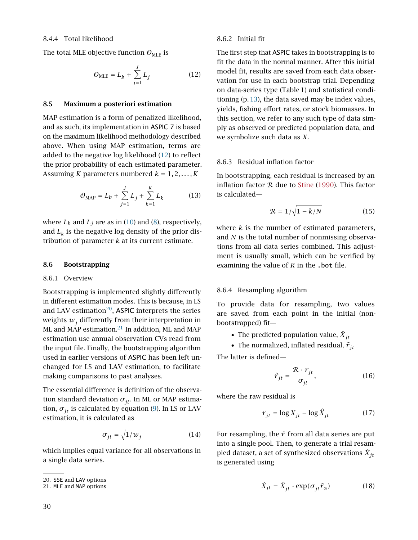<span id="page-29-0"></span>The total MLE objective function  $\mathcal{O}_{MLE}$  is

<span id="page-29-7"></span>
$$
\mathcal{O}_{MLE} = L_b + \sum_{j=1}^{J} L_j \tag{12}
$$

#### <span id="page-29-1"></span>8.5 Maximum a posteriori estimation

MAP estimation is a form of penalized likelihood, and as such, its implementation in ASPIC 7 is based on the maximum likelihood methodology described above. When using MAP estimation, terms are added to the negative log likelihood [\(12\)](#page-29-7) to reflect the prior probability of each estimated parameter. Assuming *K* parameters numbered  $k = 1, 2, ..., K$ 

$$
\mathcal{O}_{\text{MAP}} = L_b + \sum_{j=1}^{J} L_j + \sum_{k=1}^{K} L_k \tag{13}
$$

where  $L_b$  and  $L_j$  are as in [\(10\)](#page-28-9) and [\(8\)](#page-28-8), respectively, and  $L_k$  is the negative log density of the prior distribution of parameter *k* at its current estimate.

#### <span id="page-29-3"></span><span id="page-29-2"></span>8.6 Bootstrapping

#### 8.6.1 Overview

Bootstrapping is implemented slightly differently in different estimation modes. This is because, in LS and LAV estimation $^{20}$  $^{20}$  $^{20}$ , ASPIC interprets the series weights  $w_j$  differently from their interpretation in ML and  $\overline{MAP}$  estimation.<sup>[21](#page-29-9)</sup> In addition, ML and MAP estimation use annual observation CVs read from the input file. Finally, the bootstrapping algorithm used in earlier versions of ASPIC has been left unchanged for LS and LAV estimation, to facilitate making comparisons to past analyses.

The essential difference is definition of the observation standard deviation  $\sigma_{it}$ . In ML or MAP estimation,  $\sigma_{it}$  is calculated by equation [\(9\)](#page-28-10). In LS or LAV estimation, it is calculated as

$$
\sigma_{jt} = \sqrt{1/w_j} \tag{14}
$$

which implies equal variance for all observations in a single data series.

#### <span id="page-29-4"></span>8.6.2 Initial fit

The first step that ASPIC takes in bootstrapping is to fit the data in the normal manner. After this initial model fit, results are saved from each data observation for use in each bootstrap trial. Depending on data-series type (Table 1) and statistical conditioning (p. [13\)](#page-12-1), the data saved may be index values, yields, fishing effort rates, or stock biomasses. In this section, we refer to any such type of data simply as observed or predicted population data, and we symbolize such data as *X*.

#### <span id="page-29-5"></span>8.6.3 Residual inflation factor

In bootstrapping, each residual is increased by an inflation factor  $R$  due to [Stine](#page-32-3) [\(1990\)](#page-32-3). This factor is calculated—

$$
\mathcal{R} = 1/\sqrt{1 - k/N} \tag{15}
$$

where *k* is the number of estimated parameters, and *N* is the total number of nonmissing observations from all data series combined. This adjustment is usually small, which can be verified by examining the value of *R* in the .bot file.

#### <span id="page-29-6"></span>8.6.4 Resampling algorithm

To provide data for resampling, two values are saved from each point in the initial (nonbootstrapped) fit—

- The predicted population value,  $\hat{X}_{jt}$
- The normalized, inflated residual,  $\tilde{r}_{it}$

The latter is defined—

$$
\tilde{r}_{jt} = \frac{\mathcal{R} \cdot r_{jt}}{\sigma_{jt}},\tag{16}
$$

where the raw residual is

$$
r_{jt} = \log X_{jt} - \log \hat{X}_{jt} \tag{17}
$$

For resampling, the  $\tilde{r}$  from all data series are put into a single pool. Then, to generate a trial resampled dataset, a set of synthesized observations  $\dot{X}_{jt}$ is generated using

$$
\dot{X}_{jt} = \hat{X}_{jt} \cdot \exp(\sigma_{jt}\tilde{r}_{\odot})
$$
\n(18)

<span id="page-29-8"></span><sup>20.</sup> SSE and LAV options

<span id="page-29-9"></span><sup>21.</sup> MLE and MAP options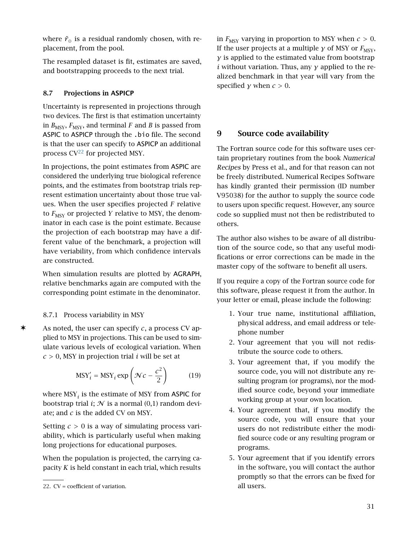where  $\tilde{r}_{\circ}$  is a residual randomly chosen, with replacement, from the pool.

The resampled dataset is fit, estimates are saved, and bootstrapping proceeds to the next trial.

## <span id="page-30-0"></span>8.7 Projections in ASPICP

Uncertainty is represented in projections through two devices. The first is that estimation uncertainty in  $B_{\text{MSY}}$ ,  $F_{\text{MSY}}$ , and terminal *F* and *B* is passed from ASPIC to ASPICP through the .bio file. The second is that the user can specify to ASPICP an additional process  $CV^{22}$  $CV^{22}$  $CV^{22}$  for projected MSY.

In projections, the point estimates from ASPIC are considered the underlying true biological reference points, and the estimates from bootstrap trials represent estimation uncertainty about those true values. When the user specifies projected *F* relative to  $F_{\text{MSY}}$  or projected *Y* relative to MSY, the denominator in each case is the point estimate. Because the projection of each bootstrap may have a different value of the benchmark, a projection will have veriability, from which confidence intervals are constructed.

When simulation results are plotted by AGRAPH, relative benchmarks again are computed with the corresponding point estimate in the denominator.

## <span id="page-30-1"></span>8.7.1 Process variability in MSY

✶ As noted, the user can specify *<sup>c</sup>*, a process CV applied to MSY in projections. This can be used to simulate various levels of ecological variation. When  $c > 0$ , MSY in projection trial *i* will be set at

$$
MSY'_{i} = MSY_{i} \exp\left(\mathcal{N}c - \frac{c^{2}}{2}\right)
$$
 (19)

where  $\mathrm{MSY}_i$  is the estimate of MSY from **ASPIC** for bootstrap trial *i*;  $N$  is a normal  $(0,1)$  random deviate; and *c* is the added CV on MSY.

Setting *c >* 0 is a way of simulating process variability, which is particularly useful when making long projections for educational purposes.

When the population is projected, the carrying capacity *K* is held constant in each trial, which results

in  $F_{\text{MSY}}$  varying in proportion to MSY when  $c > 0$ . If the user projects at a multiple *γ* of MSY or  $F_{\text{MSY}}$ , *γ* is applied to the estimated value from bootstrap *i* without variation. Thus, any *γ* applied to the realized benchmark in that year will vary from the specified *y* when  $c > 0$ .

## <span id="page-30-2"></span>9 Source code availability

The Fortran source code for this software uses certain proprietary routines from the book Numerical Recipes by Press et al., and for that reason can not be freely distributed. Numerical Recipes Software has kindly granted their permission (ID number V95038) for the author to supply the source code to users upon specific request. However, any source code so supplied must not then be redistributed to others.

The author also wishes to be aware of all distribution of the source code, so that any useful modifications or error corrections can be made in the master copy of the software to benefit all users.

If you require a copy of the Fortran source code for this software, please request it from the author. In your letter or email, please include the following:

- 1. Your true name, institutional affiliation, physical address, and email address or telephone number
- 2. Your agreement that you will not redistribute the source code to others.
- 3. Your agreement that, if you modify the source code, you will not distribute any resulting program (or programs), nor the modified source code, beyond your immediate working group at your own location.
- 4. Your agreement that, if you modify the source code, you will ensure that your users do not redistribute either the modified source code or any resulting program or programs.
- 5. Your agreement that if you identify errors in the software, you will contact the author promptly so that the errors can be fixed for all users.

<span id="page-30-3"></span><sup>22.</sup> CV = coefficient of variation.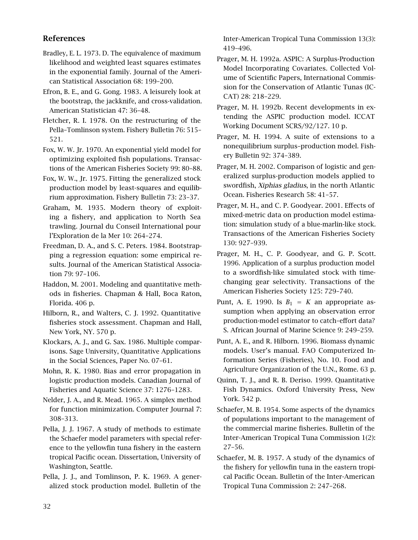## <span id="page-31-1"></span>References

- <span id="page-31-23"></span>Bradley, E. L. 1973. D. The equivalence of maximum likelihood and weighted least squares estimates in the exponential family. Journal of the American Statistical Association 68: 199–200.
- <span id="page-31-20"></span>Efron, B. E., and G. Gong. 1983. A leisurely look at the bootstrap, the jackknife, and cross-validation. American Statistician 47: 36–48.
- <span id="page-31-8"></span>Fletcher, R. I. 1978. On the restructuring of the Pella–Tomlinson system. Fishery Bulletin 76: 515– 521.
- <span id="page-31-9"></span>Fox, W. W. Jr. 1970. An exponential yield model for optimizing exploited fish populations. Transactions of the American Fisheries Society 99: 80–88.
- <span id="page-31-2"></span>Fox, W. W., Jr. 1975. Fitting the generalized stock production model by least-squares and equilibrium approximation. Fishery Bulletin 73: 23–37.
- Graham, M. 1935. Modern theory of exploiting a fishery, and application to North Sea trawling. Journal du Conseil International pour l'Exploration de la Mer 10: 264–274.
- <span id="page-31-22"></span>Freedman, D. A., and S. C. Peters. 1984. Bootstrapping a regression equation: some empirical results. Journal of the American Statistical Association 79: 97–106.
- <span id="page-31-13"></span>Haddon, M. 2001. Modeling and quantitative methods in fisheries. Chapman & Hall, Boca Raton, Florida. 406 p.
- <span id="page-31-14"></span>Hilborn, R., and Walters, C. J. 1992. Quantitative fisheries stock assessment. Chapman and Hall, New York, NY. 570 p.
- Klockars, A. J., and G. Sax. 1986. Multiple comparisons. Sage University, Quantitative Applications in the Social Sciences, Paper No. 07–61.
- <span id="page-31-3"></span>Mohn, R. K. 1980. Bias and error propagation in logistic production models. Canadian Journal of Fisheries and Aquatic Science 37: 1276–1283.
- <span id="page-31-21"></span>Nelder, J. A., and R. Mead. 1965. A simplex method for function minimization. Computer Journal 7: 308–313.
- <span id="page-31-6"></span>Pella, J. J. 1967. A study of methods to estimate the Schaefer model parameters with special reference to the yellowfin tuna fishery in the eastern tropical Pacific ocean. Dissertation, University of Washington, Seattle.
- <span id="page-31-7"></span>Pella, J. J., and Tomlinson, P. K. 1969. A generalized stock production model. Bulletin of the

Inter-American Tropical Tuna Commission 13(3): 419–496.

- <span id="page-31-10"></span>Prager, M. H. 1992a. ASPIC: A Surplus-Production Model Incorporating Covariates. Collected Volume of Scientific Papers, International Commission for the Conservation of Atlantic Tunas (IC-CAT) 28: 218–229.
- <span id="page-31-11"></span>Prager, M. H. 1992b. Recent developments in extending the ASPIC production model. ICCAT Working Document SCRS/92/127. 10 p.
- <span id="page-31-0"></span>Prager, M. H. 1994. A suite of extensions to a nonequilibrium surplus–production model. Fishery Bulletin 92: 374–389.
- <span id="page-31-18"></span>Prager, M. H. 2002. Comparison of logistic and generalized surplus-production models applied to swordfish, Xiphias gladius, in the north Atlantic Ocean. Fisheries Research 58: 41–57.
- <span id="page-31-17"></span>Prager, M. H., and C. P. Goodyear. 2001. Effects of mixed-metric data on production model estimation: simulation study of a blue-marlin-like stock. Transactions of the American Fisheries Society 130: 927–939.
- <span id="page-31-16"></span>Prager, M. H., C. P. Goodyear, and G. P. Scott. 1996. Application of a surplus production model to a swordfish-like simulated stock with timechanging gear selectivity. Transactions of the American Fisheries Society 125: 729–740.
- <span id="page-31-19"></span>Punt, A. E. 1990. Is  $B_1 = K$  an appropriate assumption when applying an observation error production-model estimator to catch–effort data? S. African Journal of Marine Science 9: 249–259.
- <span id="page-31-15"></span>Punt, A. E., and R. Hilborn. 1996. Biomass dynamic models. User's manual. FAO Computerized Information Series (Fisheries), No. 10. Food and Agriculture Organization of the U.N., Rome. 63 p.
- <span id="page-31-12"></span>Quinn, T. J., and R. B. Deriso. 1999. Quantitative Fish Dynamics. Oxford University Press, New York. 542 p.
- <span id="page-31-4"></span>Schaefer, M. B. 1954. Some aspects of the dynamics of populations important to the management of the commercial marine fisheries. Bulletin of the Inter-American Tropical Tuna Commission 1(2): 27–56.
- <span id="page-31-5"></span>Schaefer, M. B. 1957. A study of the dynamics of the fishery for yellowfin tuna in the eastern tropical Pacific Ocean. Bulletin of the Inter-American Tropical Tuna Commission 2: 247–268.